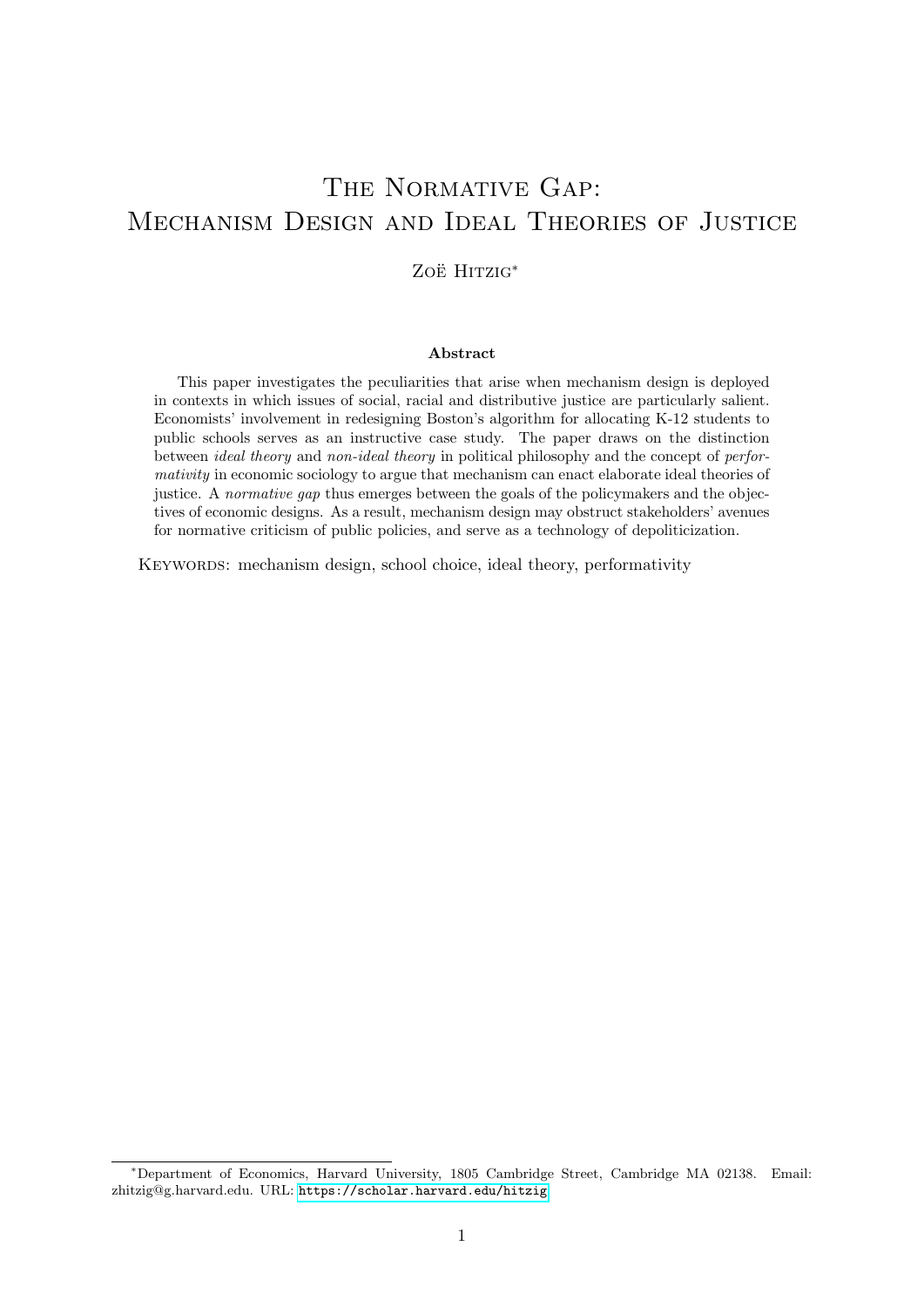# THE NORMATIVE GAP: Mechanism Design and Ideal Theories of Justice

Zoë Hitzig\*

# Abstract

This paper investigates the peculiarities that arise when mechanism design is deployed in contexts in which issues of social, racial and distributive justice are particularly salient. Economists' involvement in redesigning Boston's algorithm for allocating K-12 students to public schools serves as an instructive case study. The paper draws on the distinction between ideal theory and non-ideal theory in political philosophy and the concept of performativity in economic sociology to argue that mechanism can enact elaborate ideal theories of justice. A normative gap thus emerges between the goals of the policymakers and the objectives of economic designs. As a result, mechanism design may obstruct stakeholders' avenues for normative criticism of public policies, and serve as a technology of depoliticization.

KEYWORDS: mechanism design, school choice, ideal theory, performativity

<sup>∗</sup>Department of Economics, Harvard University, 1805 Cambridge Street, Cambridge MA 02138. Email: zhitzig@g.harvard.edu. URL: <https://scholar.harvard.edu/hitzig>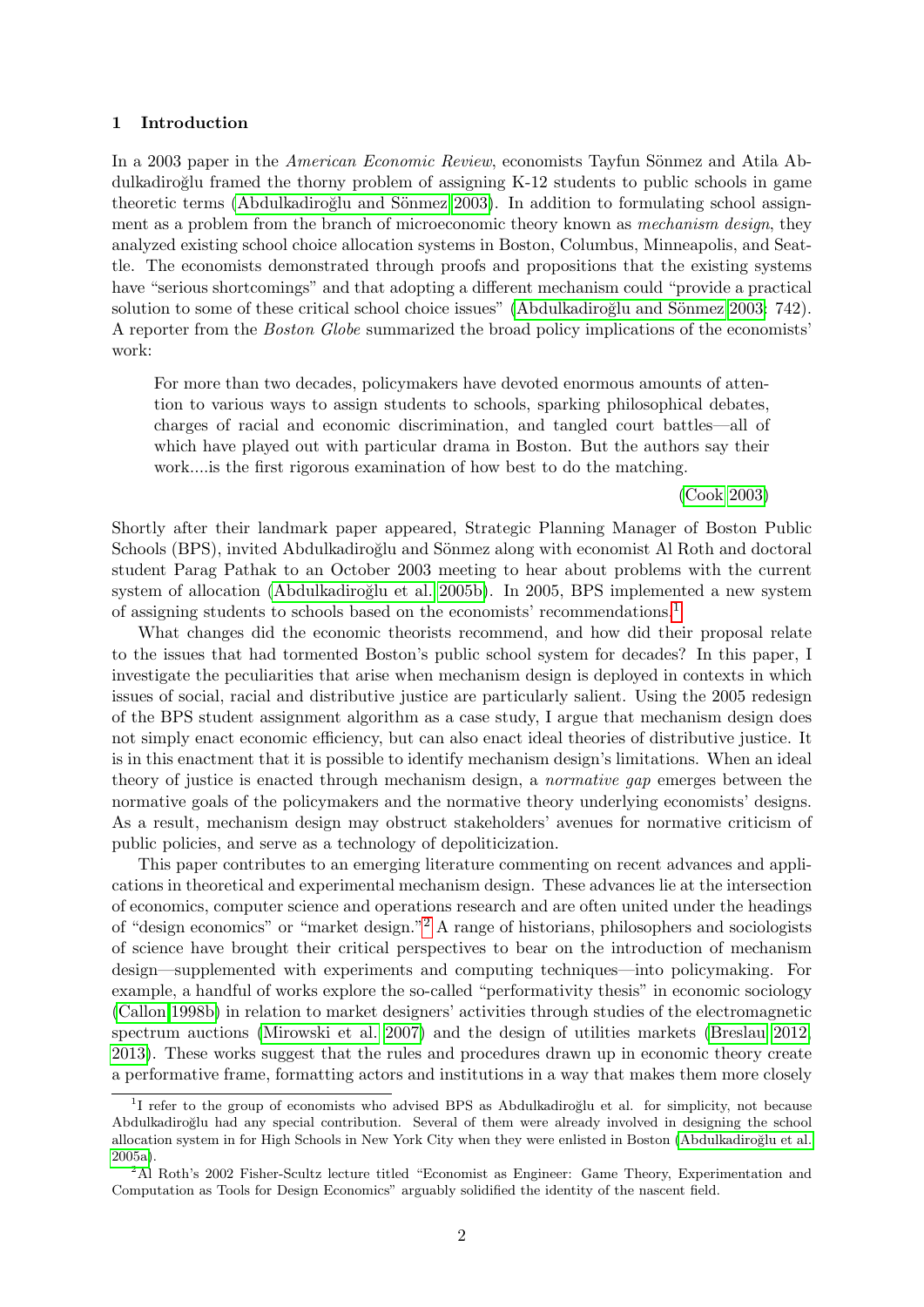### 1 Introduction

In a 2003 paper in the *American Economic Review*, economists Tayfun Sönmez and Atila Abdulkadiroğlu framed the thorny problem of assigning  $K-12$  students to public schools in game theoretic terms (Abdulkadiroğlu and Sönmez 2003). In addition to formulating school assignment as a problem from the branch of microeconomic theory known as *mechanism design*, they analyzed existing school choice allocation systems in Boston, Columbus, Minneapolis, and Seattle. The economists demonstrated through proofs and propositions that the existing systems have "serious shortcomings" and that adopting a different mechanism could "provide a practical solution to some of these critical school choice issues" (Abdulkadiroğlu and Sönmez 2003: 742). A reporter from the Boston Globe summarized the broad policy implications of the economists' work:

For more than two decades, policymakers have devoted enormous amounts of attention to various ways to assign students to schools, sparking philosophical debates, charges of racial and economic discrimination, and tangled court battles—all of which have played out with particular drama in Boston. But the authors say their work....is the first rigorous examination of how best to do the matching.

[\(Cook 2003\)](#page-22-0)

Shortly after their landmark paper appeared, Strategic Planning Manager of Boston Public Schools (BPS), invited Abdulkadiroğlu and Sönmez along with economist Al Roth and doctoral student Parag Pathak to an October 2003 meeting to hear about problems with the current system of allocation (Abdulkadiroğlu et al. 2005b). In 2005, BPS implemented a new system of assigning students to schools based on the economists' recommendations.[1](#page-1-0)

What changes did the economic theorists recommend, and how did their proposal relate to the issues that had tormented Boston's public school system for decades? In this paper, I investigate the peculiarities that arise when mechanism design is deployed in contexts in which issues of social, racial and distributive justice are particularly salient. Using the 2005 redesign of the BPS student assignment algorithm as a case study, I argue that mechanism design does not simply enact economic efficiency, but can also enact ideal theories of distributive justice. It is in this enactment that it is possible to identify mechanism design's limitations. When an ideal theory of justice is enacted through mechanism design, a normative gap emerges between the normative goals of the policymakers and the normative theory underlying economists' designs. As a result, mechanism design may obstruct stakeholders' avenues for normative criticism of public policies, and serve as a technology of depoliticization.

This paper contributes to an emerging literature commenting on recent advances and applications in theoretical and experimental mechanism design. These advances lie at the intersection of economics, computer science and operations research and are often united under the headings of "design economics" or "market design."[2](#page-1-1) A range of historians, philosophers and sociologists of science have brought their critical perspectives to bear on the introduction of mechanism design—supplemented with experiments and computing techniques—into policymaking. For example, a handful of works explore the so-called "performativity thesis" in economic sociology [\(Callon 1998b\)](#page-21-0) in relation to market designers' activities through studies of the electromagnetic spectrum auctions [\(Mirowski et al. 2007\)](#page-23-0) and the design of utilities markets [\(Breslau 2012,](#page-21-1) [2013\)](#page-21-2). These works suggest that the rules and procedures drawn up in economic theory create a performative frame, formatting actors and institutions in a way that makes them more closely

<span id="page-1-0"></span><sup>&</sup>lt;sup>1</sup>I refer to the group of economists who advised BPS as Abdulkadiroğlu et al. for simplicity, not because Abdulkadiro˘glu had any special contribution. Several of them were already involved in designing the school allocation system in for High Schools in New York City when they were enlisted in Boston (Abdulkadiroğlu et al. [2005a\)](#page-20-2).

<span id="page-1-1"></span><sup>&</sup>lt;sup>2</sup>Al Roth's 2002 Fisher-Scultz lecture titled "Economist as Engineer: Game Theory, Experimentation and Computation as Tools for Design Economics" arguably solidified the identity of the nascent field.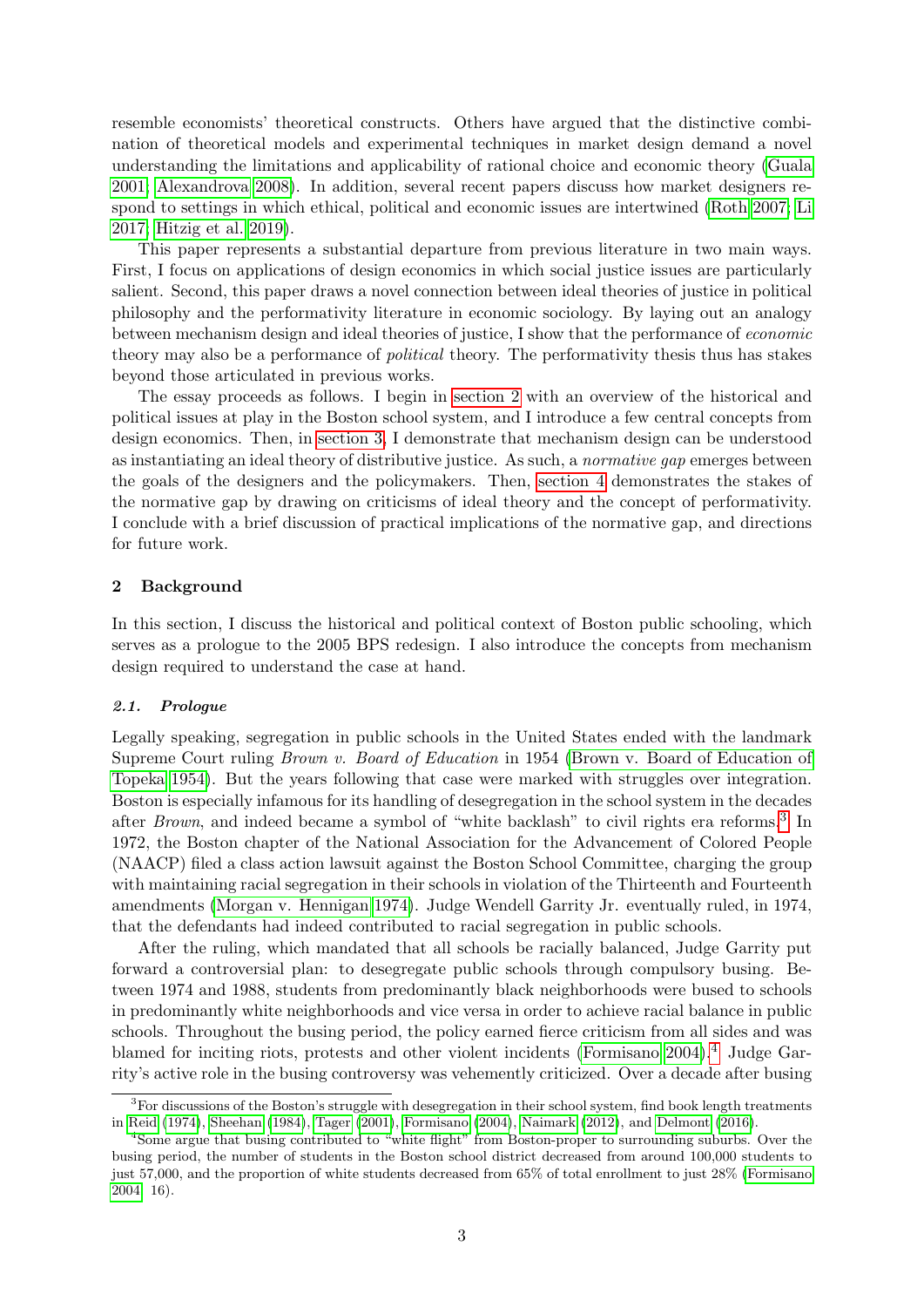resemble economists' theoretical constructs. Others have argued that the distinctive combination of theoretical models and experimental techniques in market design demand a novel understanding the limitations and applicability of rational choice and economic theory [\(Guala](#page-22-1) [2001;](#page-22-1) [Alexandrova 2008\)](#page-20-3). In addition, several recent papers discuss how market designers respond to settings in which ethical, political and economic issues are intertwined [\(Roth 2007;](#page-24-0) [Li](#page-23-1) [2017;](#page-23-1) [Hitzig et al. 2019\)](#page-22-2).

This paper represents a substantial departure from previous literature in two main ways. First, I focus on applications of design economics in which social justice issues are particularly salient. Second, this paper draws a novel connection between ideal theories of justice in political philosophy and the performativity literature in economic sociology. By laying out an analogy between mechanism design and ideal theories of justice, I show that the performance of economic theory may also be a performance of political theory. The performativity thesis thus has stakes beyond those articulated in previous works.

The essay proceeds as follows. I begin in [section 2](#page-2-0) with an overview of the historical and political issues at play in the Boston school system, and I introduce a few central concepts from design economics. Then, in [section 3,](#page-5-0) I demonstrate that mechanism design can be understood as instantiating an ideal theory of distributive justice. As such, a normative gap emerges between the goals of the designers and the policymakers. Then, [section 4](#page-11-0) demonstrates the stakes of the normative gap by drawing on criticisms of ideal theory and the concept of performativity. I conclude with a brief discussion of practical implications of the normative gap, and directions for future work.

# <span id="page-2-0"></span>2 Background

In this section, I discuss the historical and political context of Boston public schooling, which serves as a prologue to the 2005 BPS redesign. I also introduce the concepts from mechanism design required to understand the case at hand.

# 2.1. Prologue

Legally speaking, segregation in public schools in the United States ended with the landmark Supreme Court ruling Brown v. Board of Education in 1954 [\(Brown v. Board of Education of](#page-21-3) [Topeka 1954\)](#page-21-3). But the years following that case were marked with struggles over integration. Boston is especially infamous for its handling of desegregation in the school system in the decades after *Brown*, and indeed became a symbol of "white backlash" to civil rights era reforms.<sup>[3](#page-2-1)</sup> In 1972, the Boston chapter of the National Association for the Advancement of Colored People (NAACP) filed a class action lawsuit against the Boston School Committee, charging the group with maintaining racial segregation in their schools in violation of the Thirteenth and Fourteenth amendments [\(Morgan v. Hennigan 1974\)](#page-23-2). Judge Wendell Garrity Jr. eventually ruled, in 1974, that the defendants had indeed contributed to racial segregation in public schools.

After the ruling, which mandated that all schools be racially balanced, Judge Garrity put forward a controversial plan: to desegregate public schools through compulsory busing. Between 1974 and 1988, students from predominantly black neighborhoods were bused to schools in predominantly white neighborhoods and vice versa in order to achieve racial balance in public schools. Throughout the busing period, the policy earned fierce criticism from all sides and was blamed for inciting riots, protests and other violent incidents [\(Formisano 2004\)](#page-22-3).[4](#page-2-2) Judge Garrity's active role in the busing controversy was vehemently criticized. Over a decade after busing

<span id="page-2-1"></span><sup>&</sup>lt;sup>3</sup>For discussions of the Boston's struggle with desegregation in their school system, find book length treatments in [Reid](#page-24-1) [\(1974\)](#page-24-1), [Sheehan](#page-24-2) [\(1984\)](#page-24-2), [Tager](#page-25-0) [\(2001\)](#page-25-0), [Formisano](#page-22-3) [\(2004\)](#page-22-3), [Naimark](#page-23-3) [\(2012\)](#page-23-3), and [Delmont](#page-22-4) [\(2016\)](#page-22-4).

<span id="page-2-2"></span><sup>4</sup>Some argue that busing contributed to "white flight" from Boston-proper to surrounding suburbs. Over the busing period, the number of students in the Boston school district decreased from around 100,000 students to just 57,000, and the proportion of white students decreased from 65% of total enrollment to just 28% [\(Formisano](#page-22-3) [2004:](#page-22-3) 16).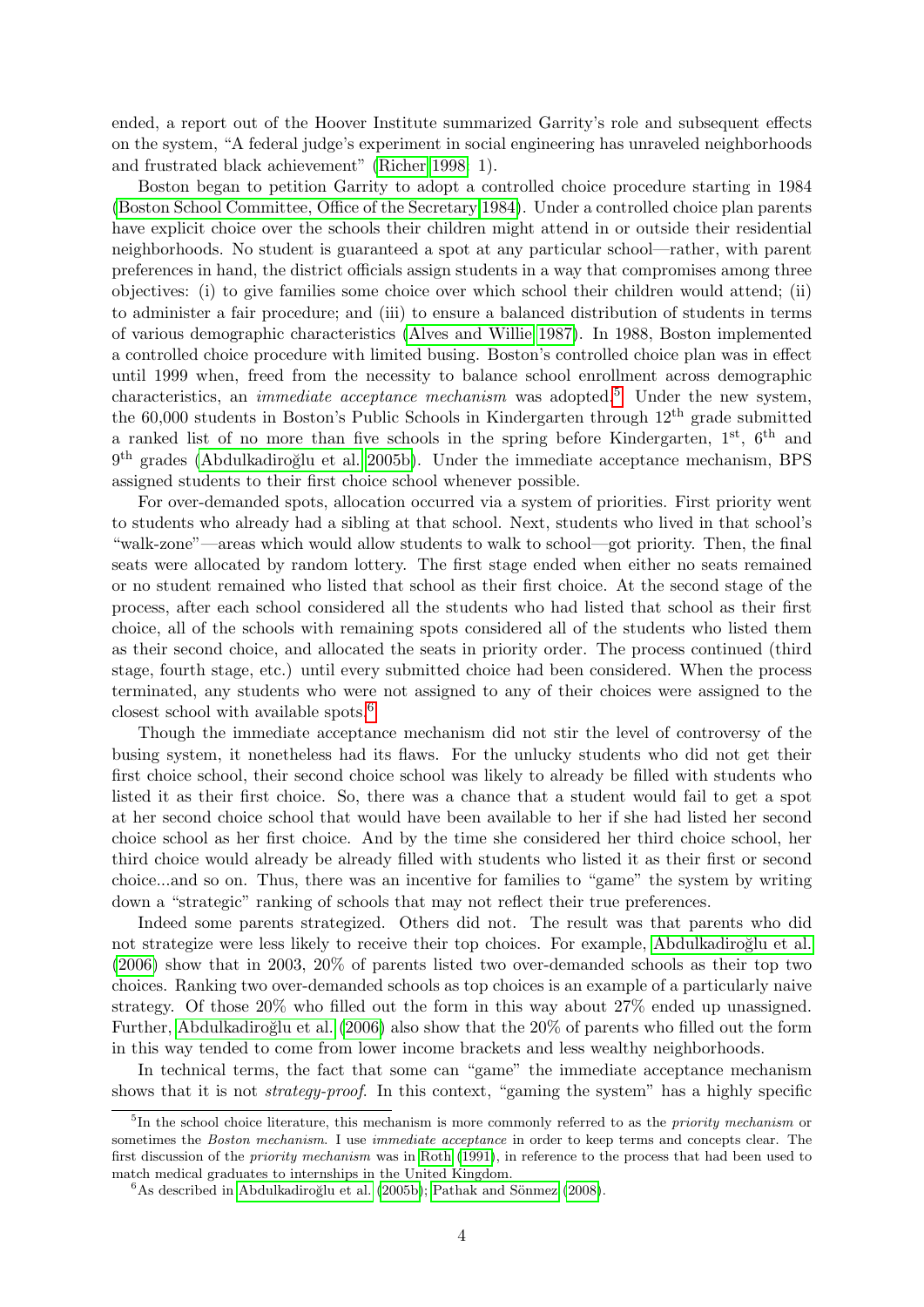ended, a report out of the Hoover Institute summarized Garrity's role and subsequent effects on the system, "A federal judge's experiment in social engineering has unraveled neighborhoods and frustrated black achievement" [\(Richer 1998:](#page-24-3) 1).

Boston began to petition Garrity to adopt a controlled choice procedure starting in 1984 [\(Boston School Committee, Office of the Secretary 1984\)](#page-21-4). Under a controlled choice plan parents have explicit choice over the schools their children might attend in or outside their residential neighborhoods. No student is guaranteed a spot at any particular school—rather, with parent preferences in hand, the district officials assign students in a way that compromises among three objectives: (i) to give families some choice over which school their children would attend; (ii) to administer a fair procedure; and (iii) to ensure a balanced distribution of students in terms of various demographic characteristics [\(Alves and Willie 1987\)](#page-21-5). In 1988, Boston implemented a controlled choice procedure with limited busing. Boston's controlled choice plan was in effect until 1999 when, freed from the necessity to balance school enrollment across demographic characteristics, an *immediate acceptance mechanism* was adopted.<sup>[5](#page-3-0)</sup> Under the new system, the 60,000 students in Boston's Public Schools in Kindergarten through 12th grade submitted a ranked list of no more than five schools in the spring before Kindergarten,  $1^{st}$ ,  $6^{th}$  and 9<sup>th</sup> grades (Abdulkadiroğlu et al. 2005b). Under the immediate acceptance mechanism, BPS assigned students to their first choice school whenever possible.

For over-demanded spots, allocation occurred via a system of priorities. First priority went to students who already had a sibling at that school. Next, students who lived in that school's "walk-zone"—areas which would allow students to walk to school—got priority. Then, the final seats were allocated by random lottery. The first stage ended when either no seats remained or no student remained who listed that school as their first choice. At the second stage of the process, after each school considered all the students who had listed that school as their first choice, all of the schools with remaining spots considered all of the students who listed them as their second choice, and allocated the seats in priority order. The process continued (third stage, fourth stage, etc.) until every submitted choice had been considered. When the process terminated, any students who were not assigned to any of their choices were assigned to the closest school with available spots.[6](#page-3-1)

Though the immediate acceptance mechanism did not stir the level of controversy of the busing system, it nonetheless had its flaws. For the unlucky students who did not get their first choice school, their second choice school was likely to already be filled with students who listed it as their first choice. So, there was a chance that a student would fail to get a spot at her second choice school that would have been available to her if she had listed her second choice school as her first choice. And by the time she considered her third choice school, her third choice would already be already filled with students who listed it as their first or second choice...and so on. Thus, there was an incentive for families to "game" the system by writing down a "strategic" ranking of schools that may not reflect their true preferences.

Indeed some parents strategized. Others did not. The result was that parents who did not strategize were less likely to receive their top choices. For example, Abdulkadiroğlu et al. [\(2006\)](#page-20-4) show that in 2003, 20% of parents listed two over-demanded schools as their top two choices. Ranking two over-demanded schools as top choices is an example of a particularly naive strategy. Of those 20% who filled out the form in this way about 27% ended up unassigned. Further, Abdulkadiroğlu et al. [\(2006\)](#page-20-4) also show that the 20% of parents who filled out the form in this way tended to come from lower income brackets and less wealthy neighborhoods.

In technical terms, the fact that some can "game" the immediate acceptance mechanism shows that it is not *strategy-proof*. In this context, "gaming the system" has a highly specific

<span id="page-3-0"></span><sup>&</sup>lt;sup>5</sup>In the school choice literature, this mechanism is more commonly referred to as the *priority mechanism* or sometimes the Boston mechanism. I use immediate acceptance in order to keep terms and concepts clear. The first discussion of the priority mechanism was in [Roth](#page-24-4) [\(1991\)](#page-24-4), in reference to the process that had been used to match medical graduates to internships in the United Kingdom.

<span id="page-3-1"></span> $6$ As described in Abdulkadiroğlu et al. [\(2005b\)](#page-20-1); Pathak and Sönmez [\(2008\)](#page-23-4).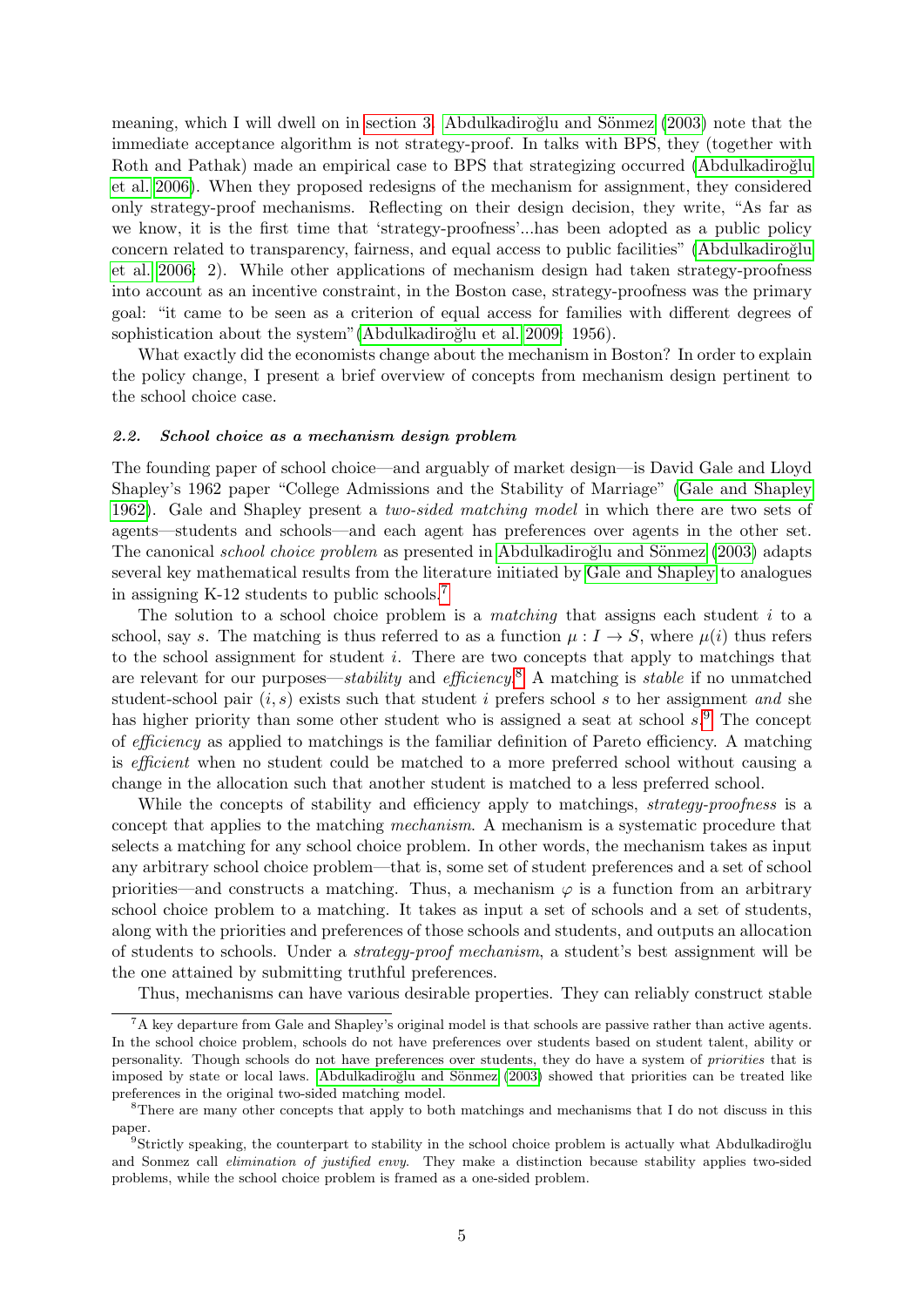meaning, which I will dwell on in [section 3.](#page-5-0) Abdulkadiroğlu and Sönmez [\(2003\)](#page-20-0) note that the immediate acceptance algorithm is not strategy-proof. In talks with BPS, they (together with Roth and Pathak) made an empirical case to BPS that strategizing occurred (Abdulkadiroğlu [et al. 2006\)](#page-20-4). When they proposed redesigns of the mechanism for assignment, they considered only strategy-proof mechanisms. Reflecting on their design decision, they write, "As far as we know, it is the first time that 'strategy-proofness'...has been adopted as a public policy concern related to transparency, fairness, and equal access to public facilities" (Abdulkadiroğlu [et al. 2006:](#page-20-4) 2). While other applications of mechanism design had taken strategy-proofness into account as an incentive constraint, in the Boston case, strategy-proofness was the primary goal: "it came to be seen as a criterion of equal access for families with different degrees of sophistication about the system" (Abdulkadiroğlu et al. 2009: 1956).

What exactly did the economists change about the mechanism in Boston? In order to explain the policy change, I present a brief overview of concepts from mechanism design pertinent to the school choice case.

### 2.2. School choice as a mechanism design problem

The founding paper of school choice—and arguably of market design—is David Gale and Lloyd Shapley's 1962 paper "College Admissions and the Stability of Marriage" [\(Gale and Shapley](#page-22-5) [1962\)](#page-22-5). Gale and Shapley present a two-sided matching model in which there are two sets of agents—students and schools—and each agent has preferences over agents in the other set. The canonical *school choice problem* as presented in Abdulkadiroğlu and Sönmez [\(2003\)](#page-20-0) adapts several key mathematical results from the literature initiated by [Gale and Shapley](#page-22-5) to analogues in assigning K-12 students to public schools.[7](#page-4-0)

The solution to a school choice problem is a matching that assigns each student  $i$  to a school, say s. The matching is thus referred to as a function  $\mu: I \to S$ , where  $\mu(i)$  thus refers to the school assignment for student i. There are two concepts that apply to matchings that are relevant for our purposes—stability and efficiency.<sup>[8](#page-4-1)</sup> A matching is stable if no unmatched student-school pair  $(i, s)$  exists such that student i prefers school s to her assignment and she has higher priority than some other student who is assigned a seat at school  $s$ . The concept of efficiency as applied to matchings is the familiar definition of Pareto efficiency. A matching is efficient when no student could be matched to a more preferred school without causing a change in the allocation such that another student is matched to a less preferred school.

While the concepts of stability and efficiency apply to matchings, strategy-proofness is a concept that applies to the matching mechanism. A mechanism is a systematic procedure that selects a matching for any school choice problem. In other words, the mechanism takes as input any arbitrary school choice problem—that is, some set of student preferences and a set of school priorities—and constructs a matching. Thus, a mechanism  $\varphi$  is a function from an arbitrary school choice problem to a matching. It takes as input a set of schools and a set of students, along with the priorities and preferences of those schools and students, and outputs an allocation of students to schools. Under a strategy-proof mechanism, a student's best assignment will be the one attained by submitting truthful preferences.

<span id="page-4-0"></span>Thus, mechanisms can have various desirable properties. They can reliably construct stable

<sup>7</sup>A key departure from Gale and Shapley's original model is that schools are passive rather than active agents. In the school choice problem, schools do not have preferences over students based on student talent, ability or personality. Though schools do not have preferences over students, they do have a system of priorities that is imposed by state or local laws. Abdulkadiroğlu and Sönmez [\(2003\)](#page-20-0) showed that priorities can be treated like preferences in the original two-sided matching model.

<span id="page-4-1"></span><sup>8</sup>There are many other concepts that apply to both matchings and mechanisms that I do not discuss in this paper.

<span id="page-4-2"></span><sup>&</sup>lt;sup>9</sup>Strictly speaking, the counterpart to stability in the school choice problem is actually what Abdulkadiroğlu and Sonmez call *elimination of justified envy*. They make a distinction because stability applies two-sided problems, while the school choice problem is framed as a one-sided problem.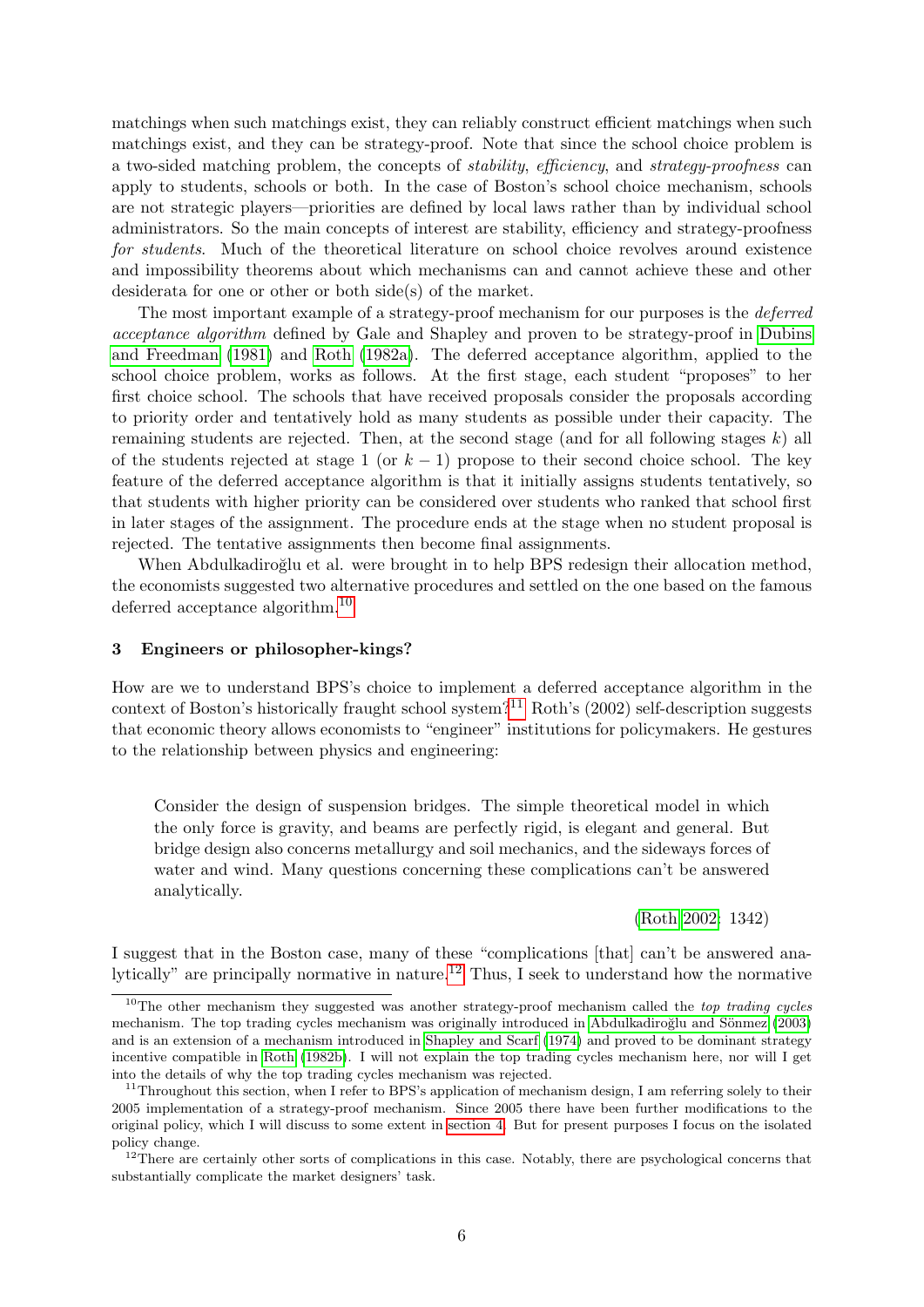matchings when such matchings exist, they can reliably construct efficient matchings when such matchings exist, and they can be strategy-proof. Note that since the school choice problem is a two-sided matching problem, the concepts of stability, efficiency, and strategy-proofness can apply to students, schools or both. In the case of Boston's school choice mechanism, schools are not strategic players—priorities are defined by local laws rather than by individual school administrators. So the main concepts of interest are stability, efficiency and strategy-proofness for students. Much of the theoretical literature on school choice revolves around existence and impossibility theorems about which mechanisms can and cannot achieve these and other desiderata for one or other or both side(s) of the market.

The most important example of a strategy-proof mechanism for our purposes is the deferred acceptance algorithm defined by Gale and Shapley and proven to be strategy-proof in [Dubins](#page-22-6) [and Freedman](#page-22-6) [\(1981\)](#page-22-6) and [Roth](#page-24-5) [\(1982a\)](#page-24-5). The deferred acceptance algorithm, applied to the school choice problem, works as follows. At the first stage, each student "proposes" to her first choice school. The schools that have received proposals consider the proposals according to priority order and tentatively hold as many students as possible under their capacity. The remaining students are rejected. Then, at the second stage (and for all following stages  $k$ ) all of the students rejected at stage 1 (or  $k-1$ ) propose to their second choice school. The key feature of the deferred acceptance algorithm is that it initially assigns students tentatively, so that students with higher priority can be considered over students who ranked that school first in later stages of the assignment. The procedure ends at the stage when no student proposal is rejected. The tentative assignments then become final assignments.

When Abdulkadiroğlu et al. were brought in to help BPS redesign their allocation method, the economists suggested two alternative procedures and settled on the one based on the famous deferred acceptance algorithm.<sup>[10](#page-5-1)</sup>

### <span id="page-5-0"></span>3 Engineers or philosopher-kings?

How are we to understand BPS's choice to implement a deferred acceptance algorithm in the context of Boston's historically fraught school system?<sup>[11](#page-5-2)</sup> Roth's (2002) self-description suggests that economic theory allows economists to "engineer" institutions for policymakers. He gestures to the relationship between physics and engineering:

Consider the design of suspension bridges. The simple theoretical model in which the only force is gravity, and beams are perfectly rigid, is elegant and general. But bridge design also concerns metallurgy and soil mechanics, and the sideways forces of water and wind. Many questions concerning these complications can't be answered analytically.

[\(Roth 2002:](#page-24-6) 1342)

I suggest that in the Boston case, many of these "complications [that] can't be answered analytically" are principally normative in nature.[12](#page-5-3) Thus, I seek to understand how the normative

<span id="page-5-1"></span><sup>&</sup>lt;sup>10</sup>The other mechanism they suggested was another strategy-proof mechanism called the *top trading cycles* mechanism. The top trading cycles mechanism was originally introduced in Abdulkadiroğlu and Sönmez [\(2003\)](#page-20-0) and is an extension of a mechanism introduced in [Shapley and Scarf](#page-24-7) [\(1974\)](#page-24-7) and proved to be dominant strategy incentive compatible in [Roth](#page-24-8) [\(1982b\)](#page-24-8). I will not explain the top trading cycles mechanism here, nor will I get into the details of why the top trading cycles mechanism was rejected.

<span id="page-5-2"></span><sup>&</sup>lt;sup>11</sup>Throughout this section, when I refer to BPS's application of mechanism design, I am referring solely to their 2005 implementation of a strategy-proof mechanism. Since 2005 there have been further modifications to the original policy, which I will discuss to some extent in [section 4.](#page-11-0) But for present purposes I focus on the isolated policy change.

<span id="page-5-3"></span> $12$ There are certainly other sorts of complications in this case. Notably, there are psychological concerns that substantially complicate the market designers' task.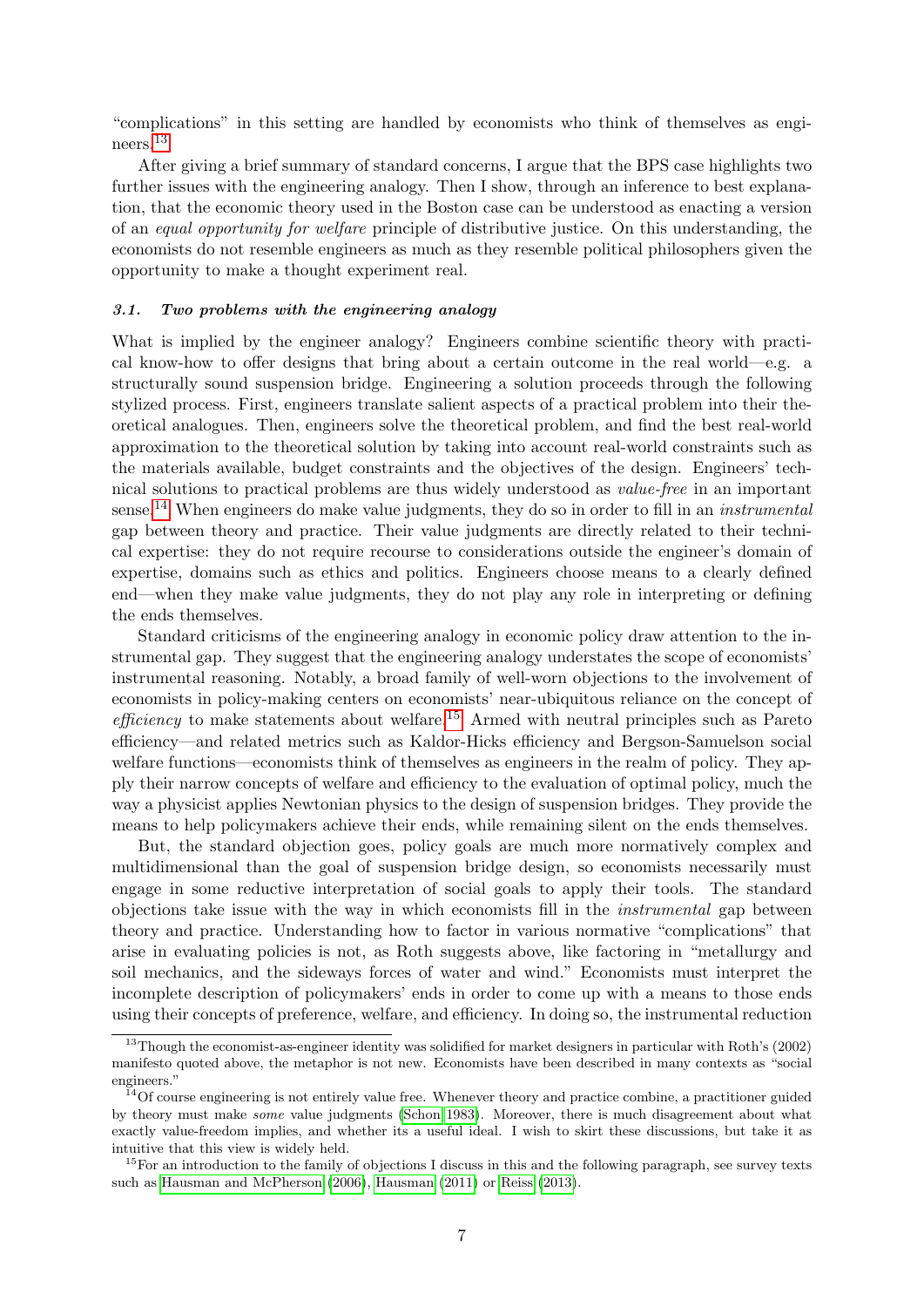"complications" in this setting are handled by economists who think of themselves as engineers.[13](#page-6-0)

After giving a brief summary of standard concerns, I argue that the BPS case highlights two further issues with the engineering analogy. Then I show, through an inference to best explanation, that the economic theory used in the Boston case can be understood as enacting a version of an equal opportunity for welfare principle of distributive justice. On this understanding, the economists do not resemble engineers as much as they resemble political philosophers given the opportunity to make a thought experiment real.

## 3.1. Two problems with the engineering analogy

What is implied by the engineer analogy? Engineers combine scientific theory with practical know-how to offer designs that bring about a certain outcome in the real world—e.g. a structurally sound suspension bridge. Engineering a solution proceeds through the following stylized process. First, engineers translate salient aspects of a practical problem into their theoretical analogues. Then, engineers solve the theoretical problem, and find the best real-world approximation to the theoretical solution by taking into account real-world constraints such as the materials available, budget constraints and the objectives of the design. Engineers' technical solutions to practical problems are thus widely understood as value-free in an important sense.<sup>[14](#page-6-1)</sup> When engineers do make value judgments, they do so in order to fill in an *instrumental* gap between theory and practice. Their value judgments are directly related to their technical expertise: they do not require recourse to considerations outside the engineer's domain of expertise, domains such as ethics and politics. Engineers choose means to a clearly defined end—when they make value judgments, they do not play any role in interpreting or defining the ends themselves.

Standard criticisms of the engineering analogy in economic policy draw attention to the instrumental gap. They suggest that the engineering analogy understates the scope of economists' instrumental reasoning. Notably, a broad family of well-worn objections to the involvement of economists in policy-making centers on economists' near-ubiquitous reliance on the concept of  $efficiency$  to make statements about welfare.<sup>[15](#page-6-2)</sup> Armed with neutral principles such as Pareto efficiency—and related metrics such as Kaldor-Hicks efficiency and Bergson-Samuelson social welfare functions—economists think of themselves as engineers in the realm of policy. They apply their narrow concepts of welfare and efficiency to the evaluation of optimal policy, much the way a physicist applies Newtonian physics to the design of suspension bridges. They provide the means to help policymakers achieve their ends, while remaining silent on the ends themselves.

But, the standard objection goes, policy goals are much more normatively complex and multidimensional than the goal of suspension bridge design, so economists necessarily must engage in some reductive interpretation of social goals to apply their tools. The standard objections take issue with the way in which economists fill in the instrumental gap between theory and practice. Understanding how to factor in various normative "complications" that arise in evaluating policies is not, as Roth suggests above, like factoring in "metallurgy and soil mechanics, and the sideways forces of water and wind." Economists must interpret the incomplete description of policymakers' ends in order to come up with a means to those ends using their concepts of preference, welfare, and efficiency. In doing so, the instrumental reduction

<span id="page-6-0"></span> $13$ Though the economist-as-engineer identity was solidified for market designers in particular with Roth's (2002) manifesto quoted above, the metaphor is not new. Economists have been described in many contexts as "social engineers."

<span id="page-6-1"></span> $14$ Of course engineering is not entirely value free. Whenever theory and practice combine, a practitioner guided by theory must make some value judgments [\(Schon 1983\)](#page-24-9). Moreover, there is much disagreement about what exactly value-freedom implies, and whether its a useful ideal. I wish to skirt these discussions, but take it as intuitive that this view is widely held.

<span id="page-6-2"></span> $15$ For an introduction to the family of objections I discuss in this and the following paragraph, see survey texts such as [Hausman and McPherson](#page-22-7) [\(2006\)](#page-22-7), [Hausman](#page-22-8) [\(2011\)](#page-22-8) or [Reiss](#page-24-10) [\(2013\)](#page-24-10).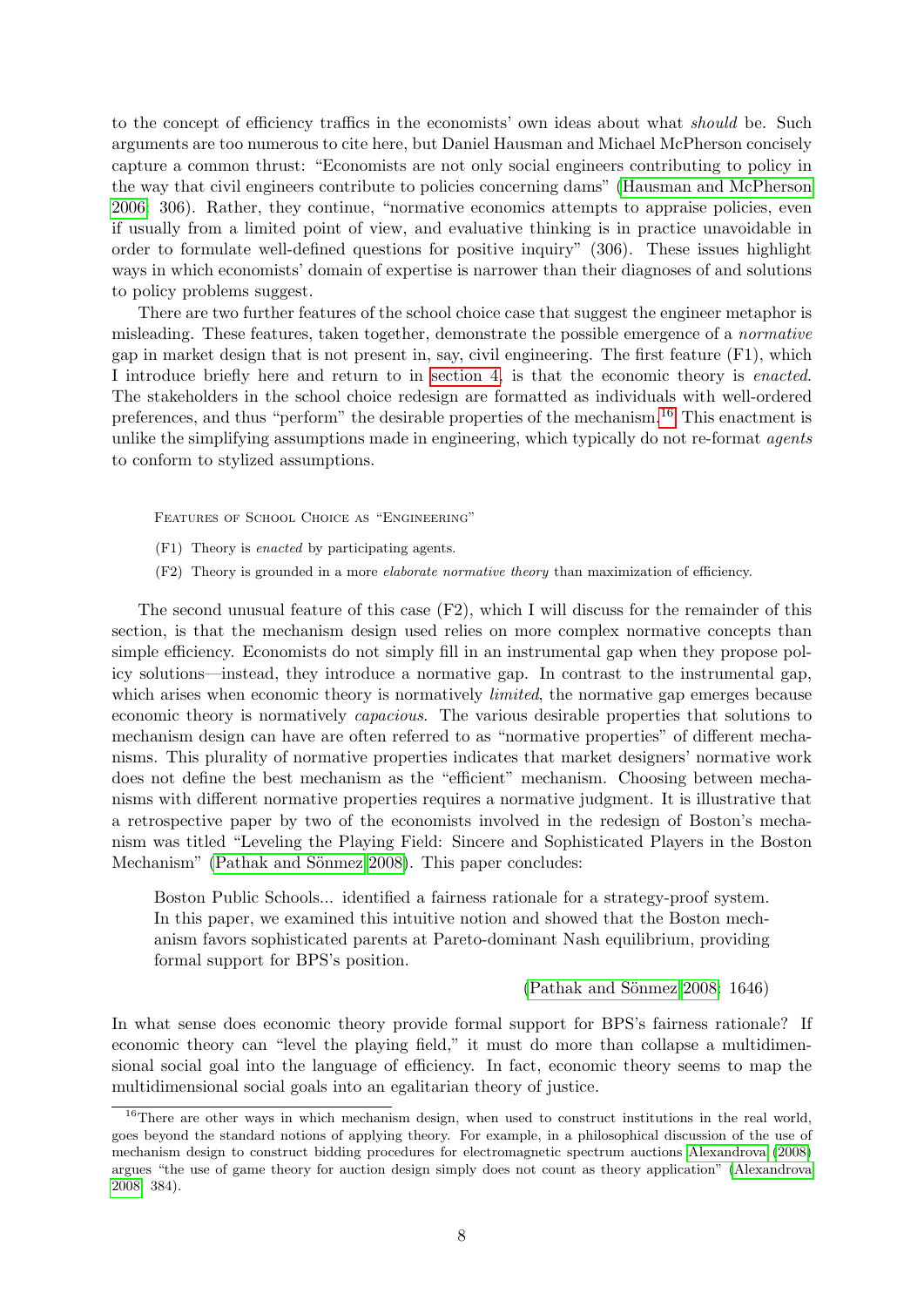to the concept of efficiency traffics in the economists' own ideas about what should be. Such arguments are too numerous to cite here, but Daniel Hausman and Michael McPherson concisely capture a common thrust: "Economists are not only social engineers contributing to policy in the way that civil engineers contribute to policies concerning dams" [\(Hausman and McPherson](#page-22-7) [2006:](#page-22-7) 306). Rather, they continue, "normative economics attempts to appraise policies, even if usually from a limited point of view, and evaluative thinking is in practice unavoidable in order to formulate well-defined questions for positive inquiry" (306). These issues highlight ways in which economists' domain of expertise is narrower than their diagnoses of and solutions to policy problems suggest.

There are two further features of the school choice case that suggest the engineer metaphor is misleading. These features, taken together, demonstrate the possible emergence of a normative gap in market design that is not present in, say, civil engineering. The first feature (F1), which I introduce briefly here and return to in [section 4,](#page-11-0) is that the economic theory is enacted. The stakeholders in the school choice redesign are formatted as individuals with well-ordered preferences, and thus "perform" the desirable properties of the mechanism.[16](#page-7-0) This enactment is unlike the simplifying assumptions made in engineering, which typically do not re-format *agents* to conform to stylized assumptions.

Features of School Choice as "Engineering"

- (F1) Theory is enacted by participating agents.
- (F2) Theory is grounded in a more elaborate normative theory than maximization of efficiency.

The second unusual feature of this case  $(F2)$ , which I will discuss for the remainder of this section, is that the mechanism design used relies on more complex normative concepts than simple efficiency. Economists do not simply fill in an instrumental gap when they propose policy solutions—instead, they introduce a normative gap. In contrast to the instrumental gap, which arises when economic theory is normatively *limited*, the normative gap emerges because economic theory is normatively capacious. The various desirable properties that solutions to mechanism design can have are often referred to as "normative properties" of different mechanisms. This plurality of normative properties indicates that market designers' normative work does not define the best mechanism as the "efficient" mechanism. Choosing between mechanisms with different normative properties requires a normative judgment. It is illustrative that a retrospective paper by two of the economists involved in the redesign of Boston's mechanism was titled "Leveling the Playing Field: Sincere and Sophisticated Players in the Boston Mechanism" (Pathak and Sönmez 2008). This paper concludes:

Boston Public Schools... identified a fairness rationale for a strategy-proof system. In this paper, we examined this intuitive notion and showed that the Boston mechanism favors sophisticated parents at Pareto-dominant Nash equilibrium, providing formal support for BPS's position.

 $(Pathak and Sönmez 2008: 1646)$ 

In what sense does economic theory provide formal support for BPS's fairness rationale? If economic theory can "level the playing field," it must do more than collapse a multidimensional social goal into the language of efficiency. In fact, economic theory seems to map the multidimensional social goals into an egalitarian theory of justice.

<span id="page-7-0"></span><sup>&</sup>lt;sup>16</sup>There are other ways in which mechanism design, when used to construct institutions in the real world, goes beyond the standard notions of applying theory. For example, in a philosophical discussion of the use of mechanism design to construct bidding procedures for electromagnetic spectrum auctions [Alexandrova](#page-20-3) [\(2008\)](#page-20-3) argues "the use of game theory for auction design simply does not count as theory application" [\(Alexandrova](#page-20-3) [2008:](#page-20-3) 384).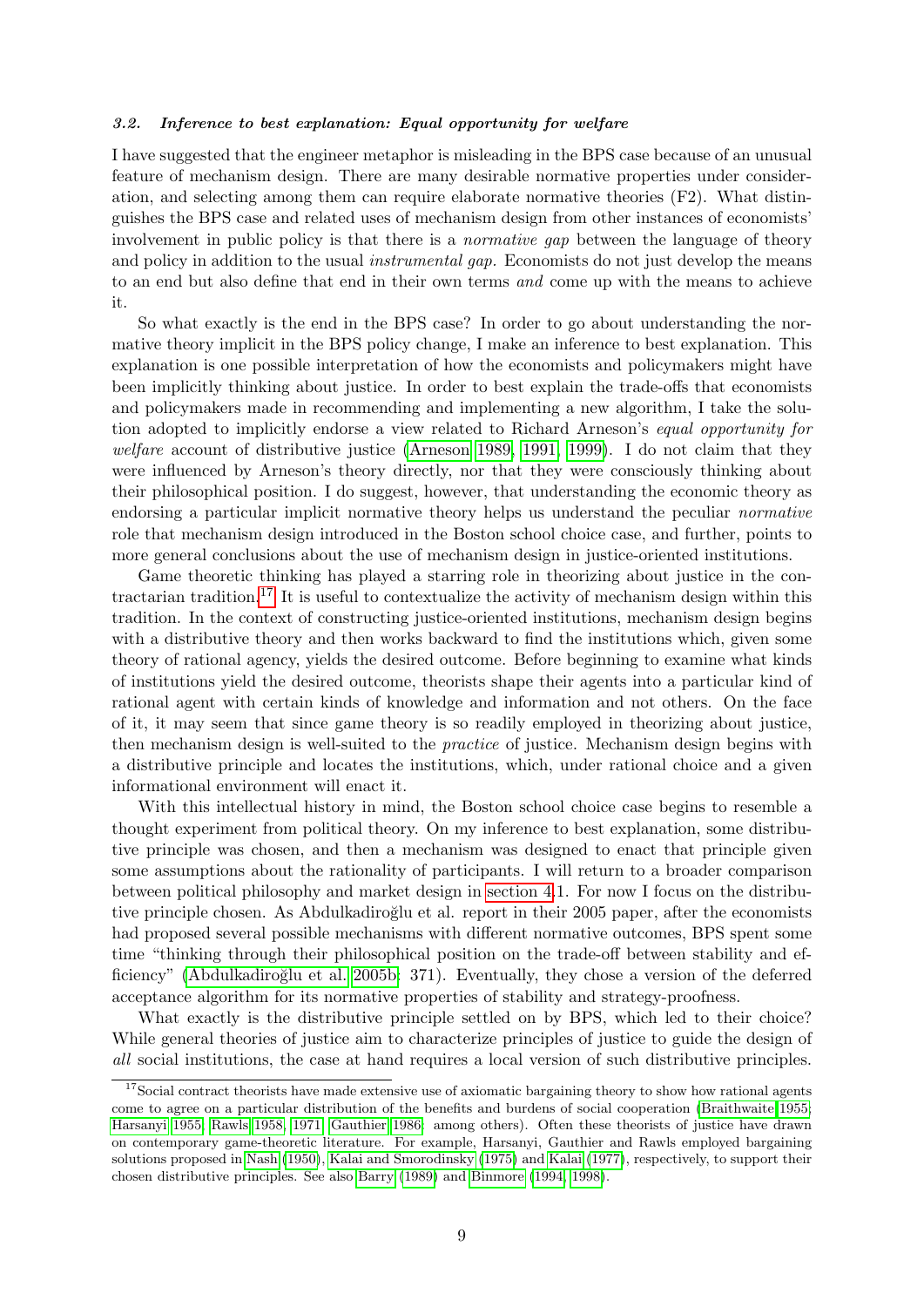#### <span id="page-8-1"></span>3.2. Inference to best explanation: Equal opportunity for welfare

I have suggested that the engineer metaphor is misleading in the BPS case because of an unusual feature of mechanism design. There are many desirable normative properties under consideration, and selecting among them can require elaborate normative theories (F2). What distinguishes the BPS case and related uses of mechanism design from other instances of economists' involvement in public policy is that there is a *normative gap* between the language of theory and policy in addition to the usual *instrumental gap*. Economists do not just develop the means to an end but also define that end in their own terms and come up with the means to achieve it.

So what exactly is the end in the BPS case? In order to go about understanding the normative theory implicit in the BPS policy change, I make an inference to best explanation. This explanation is one possible interpretation of how the economists and policymakers might have been implicitly thinking about justice. In order to best explain the trade-offs that economists and policymakers made in recommending and implementing a new algorithm, I take the solution adopted to implicitly endorse a view related to Richard Arneson's equal opportunity for welfare account of distributive justice [\(Arneson 1989,](#page-21-6) [1991,](#page-21-7) [1999\)](#page-21-8). I do not claim that they were influenced by Arneson's theory directly, nor that they were consciously thinking about their philosophical position. I do suggest, however, that understanding the economic theory as endorsing a particular implicit normative theory helps us understand the peculiar normative role that mechanism design introduced in the Boston school choice case, and further, points to more general conclusions about the use of mechanism design in justice-oriented institutions.

Game theoretic thinking has played a starring role in theorizing about justice in the contractarian tradition.[17](#page-8-0) It is useful to contextualize the activity of mechanism design within this tradition. In the context of constructing justice-oriented institutions, mechanism design begins with a distributive theory and then works backward to find the institutions which, given some theory of rational agency, yields the desired outcome. Before beginning to examine what kinds of institutions yield the desired outcome, theorists shape their agents into a particular kind of rational agent with certain kinds of knowledge and information and not others. On the face of it, it may seem that since game theory is so readily employed in theorizing about justice, then mechanism design is well-suited to the practice of justice. Mechanism design begins with a distributive principle and locates the institutions, which, under rational choice and a given informational environment will enact it.

With this intellectual history in mind, the Boston school choice case begins to resemble a thought experiment from political theory. On my inference to best explanation, some distributive principle was chosen, and then a mechanism was designed to enact that principle given some assumptions about the rationality of participants. I will return to a broader comparison between political philosophy and market design in [section 4.](#page-11-0)1. For now I focus on the distributive principle chosen. As Abdulkadiroğlu et al. report in their 2005 paper, after the economists had proposed several possible mechanisms with different normative outcomes, BPS spent some time "thinking through their philosophical position on the trade-off between stability and efficiency" (Abdulkadiroğlu et al. 2005b: 371). Eventually, they chose a version of the deferred acceptance algorithm for its normative properties of stability and strategy-proofness.

What exactly is the distributive principle settled on by BPS, which led to their choice? While general theories of justice aim to characterize principles of justice to guide the design of all social institutions, the case at hand requires a local version of such distributive principles.

<span id="page-8-0"></span><sup>&</sup>lt;sup>17</sup>Social contract theorists have made extensive use of axiomatic bargaining theory to show how rational agents come to agree on a particular distribution of the benefits and burdens of social cooperation [\(Braithwaite 1955;](#page-21-9) [Harsanyi 1955;](#page-22-9) [Rawls 1958,](#page-24-11) [1971;](#page-24-12) [Gauthier 1986:](#page-22-10) among others). Often these theorists of justice have drawn on contemporary game-theoretic literature. For example, Harsanyi, Gauthier and Rawls employed bargaining solutions proposed in [Nash](#page-23-5) [\(1950\)](#page-23-5), [Kalai and Smorodinsky](#page-23-6) [\(1975\)](#page-23-6) and [Kalai](#page-23-7) [\(1977\)](#page-23-7), respectively, to support their chosen distributive principles. See also [Barry](#page-21-10) [\(1989\)](#page-21-10) and [Binmore](#page-21-11) [\(1994,](#page-21-11) [1998\)](#page-21-12).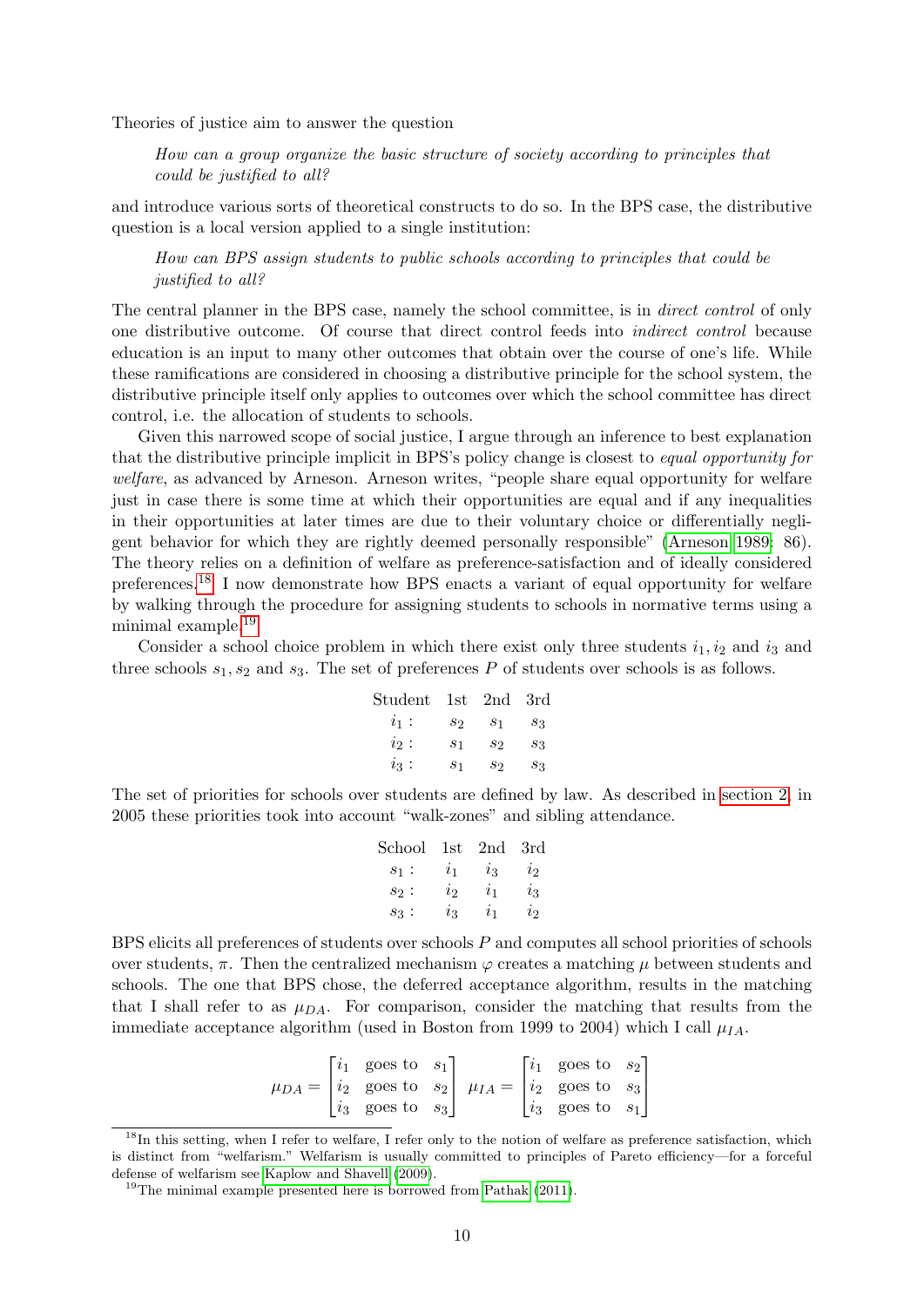Theories of justice aim to answer the question

How can a group organize the basic structure of society according to principles that could be justified to all?

and introduce various sorts of theoretical constructs to do so. In the BPS case, the distributive question is a local version applied to a single institution:

How can BPS assign students to public schools according to principles that could be justified to all?

The central planner in the BPS case, namely the school committee, is in *direct control* of only one distributive outcome. Of course that direct control feeds into indirect control because education is an input to many other outcomes that obtain over the course of one's life. While these ramifications are considered in choosing a distributive principle for the school system, the distributive principle itself only applies to outcomes over which the school committee has direct control, i.e. the allocation of students to schools.

Given this narrowed scope of social justice, I argue through an inference to best explanation that the distributive principle implicit in BPS's policy change is closest to equal opportunity for welfare, as advanced by Arneson. Arneson writes, "people share equal opportunity for welfare just in case there is some time at which their opportunities are equal and if any inequalities in their opportunities at later times are due to their voluntary choice or differentially negligent behavior for which they are rightly deemed personally responsible" [\(Arneson 1989:](#page-21-6) 86). The theory relies on a definition of welfare as preference-satisfaction and of ideally considered preferences.[18](#page-9-0) I now demonstrate how BPS enacts a variant of equal opportunity for welfare by walking through the procedure for assigning students to schools in normative terms using a minimal example.[19](#page-9-1)

Consider a school choice problem in which there exist only three students  $i_1, i_2$  and  $i_3$  and three schools  $s_1, s_2$  and  $s_3$ . The set of preferences P of students over schools is as follows.

| Student | 1st   | 2nd   | 3rd   |
|---------|-------|-------|-------|
| $i_1:$  | $s_2$ | $s_1$ | $s_3$ |
| $i_2:$  | $s_1$ | $s_2$ | $s_3$ |
| $i_3:$  | $s_1$ | $s_2$ | $s_3$ |

The set of priorities for schools over students are defined by law. As described in [section 2,](#page-2-0) in 2005 these priorities took into account "walk-zones" and sibling attendance.

| School  | 1st   | 2nd   | 3rd   |
|---------|-------|-------|-------|
| $s_1$ : | $i_1$ | $i_3$ | $i_2$ |
| $s_2$ : | $i_2$ | $i_1$ | $i_3$ |
| $s_3$ : | $i_3$ | $i_1$ | $i_2$ |

BPS elicits all preferences of students over schools P and computes all school priorities of schools over students,  $\pi$ . Then the centralized mechanism  $\varphi$  creates a matching  $\mu$  between students and schools. The one that BPS chose, the deferred acceptance algorithm, results in the matching that I shall refer to as  $\mu_{DA}$ . For comparison, consider the matching that results from the immediate acceptance algorithm (used in Boston from 1999 to 2004) which I call  $\mu_{IA}$ .

$$
\mu_{DA} = \begin{bmatrix} i_1 & \text{goes to} & s_1 \\ i_2 & \text{goes to} & s_2 \\ i_3 & \text{goes to} & s_3 \end{bmatrix} \mu_{IA} = \begin{bmatrix} i_1 & \text{goes to} & s_2 \\ i_2 & \text{goes to} & s_3 \\ i_3 & \text{goes to} & s_1 \end{bmatrix}
$$

<span id="page-9-0"></span><sup>&</sup>lt;sup>18</sup>In this setting, when I refer to welfare, I refer only to the notion of welfare as preference satisfaction, which is distinct from "welfarism." Welfarism is usually committed to principles of Pareto efficiency—for a forceful defense of welfarism see [Kaplow and Shavell](#page-23-8) [\(2009\)](#page-23-8).

<span id="page-9-1"></span><sup>&</sup>lt;sup>19</sup>The minimal example presented here is borrowed from [Pathak](#page-23-9)  $(2011)$ .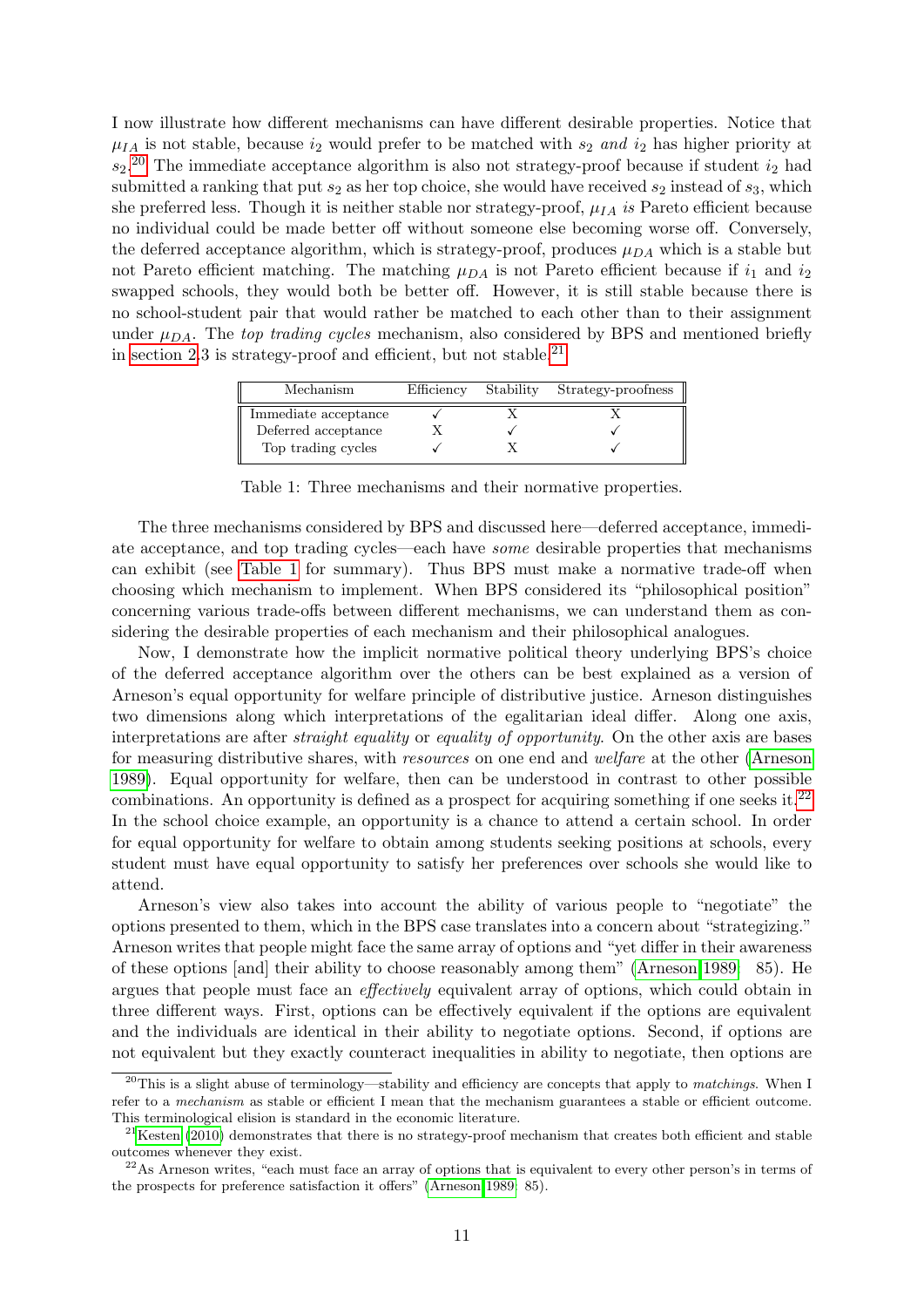I now illustrate how different mechanisms can have different desirable properties. Notice that  $\mu_{IA}$  is not stable, because  $i_2$  would prefer to be matched with  $s_2$  and  $i_2$  has higher priority at  $s_2$ <sup>[20](#page-10-0)</sup> The immediate acceptance algorithm is also not strategy-proof because if student  $i_2$  had submitted a ranking that put  $s_2$  as her top choice, she would have received  $s_2$  instead of  $s_3$ , which she preferred less. Though it is neither stable nor strategy-proof,  $\mu_{IA}$  is Pareto efficient because no individual could be made better off without someone else becoming worse off. Conversely, the deferred acceptance algorithm, which is strategy-proof, produces  $\mu_{DA}$  which is a stable but not Pareto efficient matching. The matching  $\mu_{DA}$  is not Pareto efficient because if  $i_1$  and  $i_2$ swapped schools, they would both be better off. However, it is still stable because there is no school-student pair that would rather be matched to each other than to their assignment under  $\mu_{DA}$ . The top trading cycles mechanism, also considered by BPS and mentioned briefly in [section 2.](#page-2-0)3 is strategy-proof and efficient, but not stable.<sup>[21](#page-10-1)</sup>

| Mechanism            | Efficiency | Stability | Strategy-proofness |
|----------------------|------------|-----------|--------------------|
| Immediate acceptance |            |           |                    |
| Deferred acceptance  |            |           |                    |
| Top trading cycles   |            |           |                    |

<span id="page-10-2"></span>Table 1: Three mechanisms and their normative properties.

The three mechanisms considered by BPS and discussed here—deferred acceptance, immediate acceptance, and top trading cycles—each have some desirable properties that mechanisms can exhibit (see [Table 1](#page-10-2) for summary). Thus BPS must make a normative trade-off when choosing which mechanism to implement. When BPS considered its "philosophical position" concerning various trade-offs between different mechanisms, we can understand them as considering the desirable properties of each mechanism and their philosophical analogues.

Now, I demonstrate how the implicit normative political theory underlying BPS's choice of the deferred acceptance algorithm over the others can be best explained as a version of Arneson's equal opportunity for welfare principle of distributive justice. Arneson distinguishes two dimensions along which interpretations of the egalitarian ideal differ. Along one axis, interpretations are after *straight equality* or *equality of opportunity*. On the other axis are bases for measuring distributive shares, with *resources* on one end and *welfare* at the other [\(Arneson](#page-21-6) [1989\)](#page-21-6). Equal opportunity for welfare, then can be understood in contrast to other possible combinations. An opportunity is defined as a prospect for acquiring something if one seeks it.<sup>[22](#page-10-3)</sup> In the school choice example, an opportunity is a chance to attend a certain school. In order for equal opportunity for welfare to obtain among students seeking positions at schools, every student must have equal opportunity to satisfy her preferences over schools she would like to attend.

Arneson's view also takes into account the ability of various people to "negotiate" the options presented to them, which in the BPS case translates into a concern about "strategizing." Arneson writes that people might face the same array of options and "yet differ in their awareness of these options [and] their ability to choose reasonably among them" [\(Arneson 1989:](#page-21-6) 85). He argues that people must face an effectively equivalent array of options, which could obtain in three different ways. First, options can be effectively equivalent if the options are equivalent and the individuals are identical in their ability to negotiate options. Second, if options are not equivalent but they exactly counteract inequalities in ability to negotiate, then options are

<span id="page-10-0"></span> $^{20}$ This is a slight abuse of terminology—stability and efficiency are concepts that apply to *matchings*. When I refer to a mechanism as stable or efficient I mean that the mechanism guarantees a stable or efficient outcome. This terminological elision is standard in the economic literature.

<span id="page-10-1"></span> $21$ [Kesten](#page-23-10) [\(2010\)](#page-23-10) demonstrates that there is no strategy-proof mechanism that creates both efficient and stable outcomes whenever they exist.

<span id="page-10-3"></span> $22\text{As}$  Arneson writes, "each must face an array of options that is equivalent to every other person's in terms of the prospects for preference satisfaction it offers" [\(Arneson 1989:](#page-21-6) 85).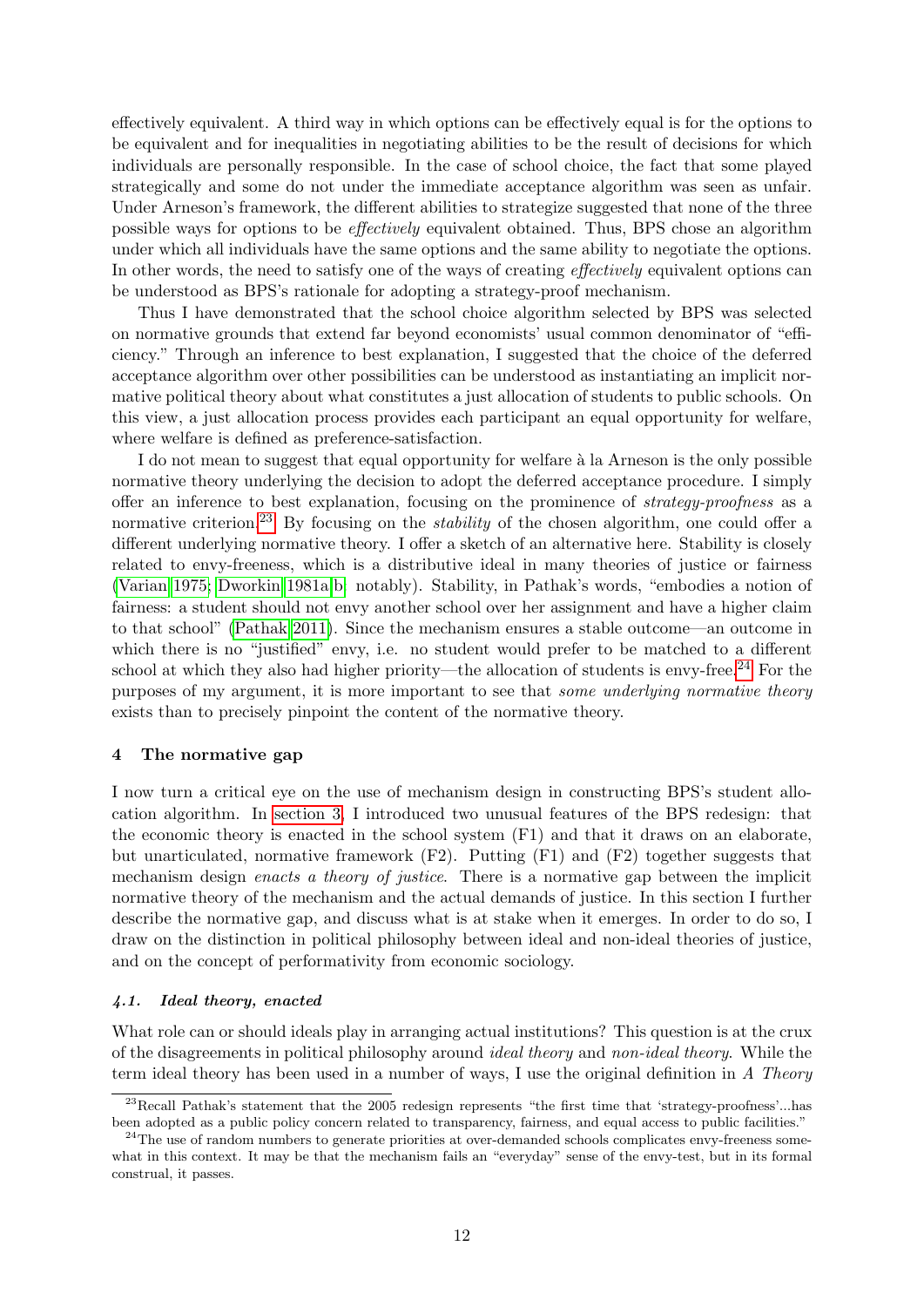effectively equivalent. A third way in which options can be effectively equal is for the options to be equivalent and for inequalities in negotiating abilities to be the result of decisions for which individuals are personally responsible. In the case of school choice, the fact that some played strategically and some do not under the immediate acceptance algorithm was seen as unfair. Under Arneson's framework, the different abilities to strategize suggested that none of the three possible ways for options to be effectively equivalent obtained. Thus, BPS chose an algorithm under which all individuals have the same options and the same ability to negotiate the options. In other words, the need to satisfy one of the ways of creating *effectively* equivalent options can be understood as BPS's rationale for adopting a strategy-proof mechanism.

Thus I have demonstrated that the school choice algorithm selected by BPS was selected on normative grounds that extend far beyond economists' usual common denominator of "efficiency." Through an inference to best explanation, I suggested that the choice of the deferred acceptance algorithm over other possibilities can be understood as instantiating an implicit normative political theory about what constitutes a just allocation of students to public schools. On this view, a just allocation process provides each participant an equal opportunity for welfare, where welfare is defined as preference-satisfaction.

I do not mean to suggest that equal opportunity for welfare à la Arneson is the only possible normative theory underlying the decision to adopt the deferred acceptance procedure. I simply offer an inference to best explanation, focusing on the prominence of strategy-proofness as a normative criterion.<sup>[23](#page-11-1)</sup> By focusing on the *stability* of the chosen algorithm, one could offer a different underlying normative theory. I offer a sketch of an alternative here. Stability is closely related to envy-freeness, which is a distributive ideal in many theories of justice or fairness [\(Varian 1975;](#page-25-1) [Dworkin 1981a,](#page-22-11)[b:](#page-22-12) notably). Stability, in Pathak's words, "embodies a notion of fairness: a student should not envy another school over her assignment and have a higher claim to that school" [\(Pathak 2011\)](#page-23-9). Since the mechanism ensures a stable outcome—an outcome in which there is no "justified" envy, i.e. no student would prefer to be matched to a different school at which they also had higher priority—the allocation of students is envy-free.<sup>[24](#page-11-2)</sup> For the purposes of my argument, it is more important to see that some underlying normative theory exists than to precisely pinpoint the content of the normative theory.

# <span id="page-11-0"></span>4 The normative gap

I now turn a critical eye on the use of mechanism design in constructing BPS's student allocation algorithm. In [section 3,](#page-5-0) I introduced two unusual features of the BPS redesign: that the economic theory is enacted in the school system (F1) and that it draws on an elaborate, but unarticulated, normative framework (F2). Putting (F1) and (F2) together suggests that mechanism design enacts a theory of justice. There is a normative gap between the implicit normative theory of the mechanism and the actual demands of justice. In this section I further describe the normative gap, and discuss what is at stake when it emerges. In order to do so, I draw on the distinction in political philosophy between ideal and non-ideal theories of justice, and on the concept of performativity from economic sociology.

#### 4.1. Ideal theory, enacted

What role can or should ideals play in arranging actual institutions? This question is at the crux of the disagreements in political philosophy around ideal theory and non-ideal theory. While the term ideal theory has been used in a number of ways, I use the original definition in A Theory

<span id="page-11-1"></span><sup>&</sup>lt;sup>23</sup>Recall Pathak's statement that the 2005 redesign represents "the first time that 'strategy-proofness'...has been adopted as a public policy concern related to transparency, fairness, and equal access to public facilities."

<span id="page-11-2"></span><sup>&</sup>lt;sup>24</sup>The use of random numbers to generate priorities at over-demanded schools complicates envy-freeness somewhat in this context. It may be that the mechanism fails an "everyday" sense of the envy-test, but in its formal construal, it passes.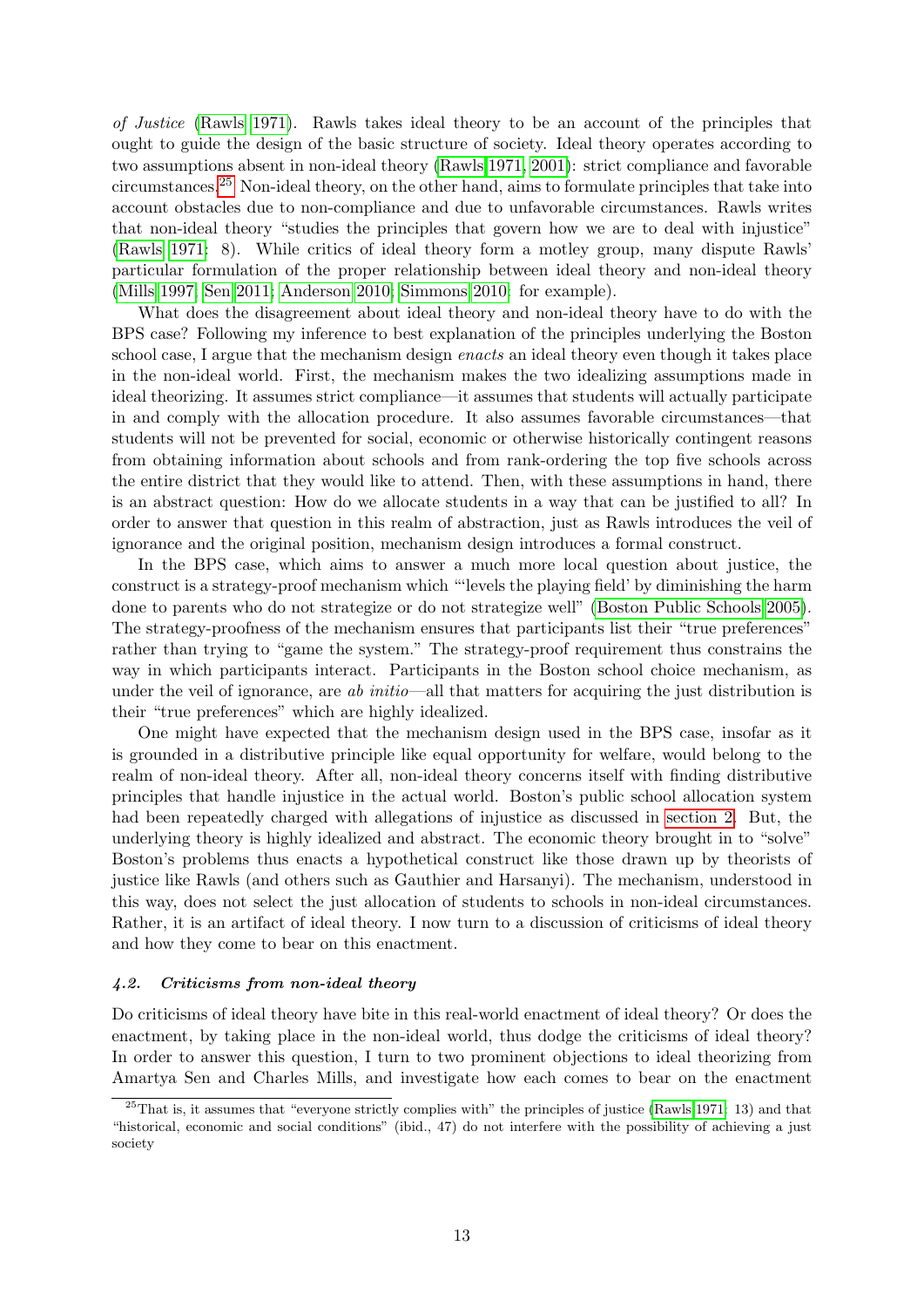of Justice [\(Rawls 1971\)](#page-24-12). Rawls takes ideal theory to be an account of the principles that ought to guide the design of the basic structure of society. Ideal theory operates according to two assumptions absent in non-ideal theory [\(Rawls 1971,](#page-24-12) [2001\)](#page-24-13): strict compliance and favorable circumstances.<sup>[25](#page-12-0)</sup> Non-ideal theory, on the other hand, aims to formulate principles that take into account obstacles due to non-compliance and due to unfavorable circumstances. Rawls writes that non-ideal theory "studies the principles that govern how we are to deal with injustice" [\(Rawls 1971:](#page-24-12) 8). While critics of ideal theory form a motley group, many dispute Rawls' particular formulation of the proper relationship between ideal theory and non-ideal theory [\(Mills 1997;](#page-23-11) [Sen 2011;](#page-24-14) [Anderson 2010;](#page-21-13) [Simmons 2010:](#page-25-2) for example).

What does the disagreement about ideal theory and non-ideal theory have to do with the BPS case? Following my inference to best explanation of the principles underlying the Boston school case, I argue that the mechanism design enacts an ideal theory even though it takes place in the non-ideal world. First, the mechanism makes the two idealizing assumptions made in ideal theorizing. It assumes strict compliance—it assumes that students will actually participate in and comply with the allocation procedure. It also assumes favorable circumstances—that students will not be prevented for social, economic or otherwise historically contingent reasons from obtaining information about schools and from rank-ordering the top five schools across the entire district that they would like to attend. Then, with these assumptions in hand, there is an abstract question: How do we allocate students in a way that can be justified to all? In order to answer that question in this realm of abstraction, just as Rawls introduces the veil of ignorance and the original position, mechanism design introduces a formal construct.

In the BPS case, which aims to answer a much more local question about justice, the construct is a strategy-proof mechanism which "'levels the playing field' by diminishing the harm done to parents who do not strategize or do not strategize well" [\(Boston Public Schools 2005\)](#page-21-14). The strategy-proofness of the mechanism ensures that participants list their "true preferences" rather than trying to "game the system." The strategy-proof requirement thus constrains the way in which participants interact. Participants in the Boston school choice mechanism, as under the veil of ignorance, are ab initio—all that matters for acquiring the just distribution is their "true preferences" which are highly idealized.

One might have expected that the mechanism design used in the BPS case, insofar as it is grounded in a distributive principle like equal opportunity for welfare, would belong to the realm of non-ideal theory. After all, non-ideal theory concerns itself with finding distributive principles that handle injustice in the actual world. Boston's public school allocation system had been repeatedly charged with allegations of injustice as discussed in [section 2.](#page-2-0) But, the underlying theory is highly idealized and abstract. The economic theory brought in to "solve" Boston's problems thus enacts a hypothetical construct like those drawn up by theorists of justice like Rawls (and others such as Gauthier and Harsanyi). The mechanism, understood in this way, does not select the just allocation of students to schools in non-ideal circumstances. Rather, it is an artifact of ideal theory. I now turn to a discussion of criticisms of ideal theory and how they come to bear on this enactment.

## 4.2. Criticisms from non-ideal theory

Do criticisms of ideal theory have bite in this real-world enactment of ideal theory? Or does the enactment, by taking place in the non-ideal world, thus dodge the criticisms of ideal theory? In order to answer this question, I turn to two prominent objections to ideal theorizing from Amartya Sen and Charles Mills, and investigate how each comes to bear on the enactment

<span id="page-12-0"></span> $^{25}$ That is, it assumes that "everyone strictly complies with" the principles of justice [\(Rawls 1971:](#page-24-12) 13) and that "historical, economic and social conditions" (ibid., 47) do not interfere with the possibility of achieving a just society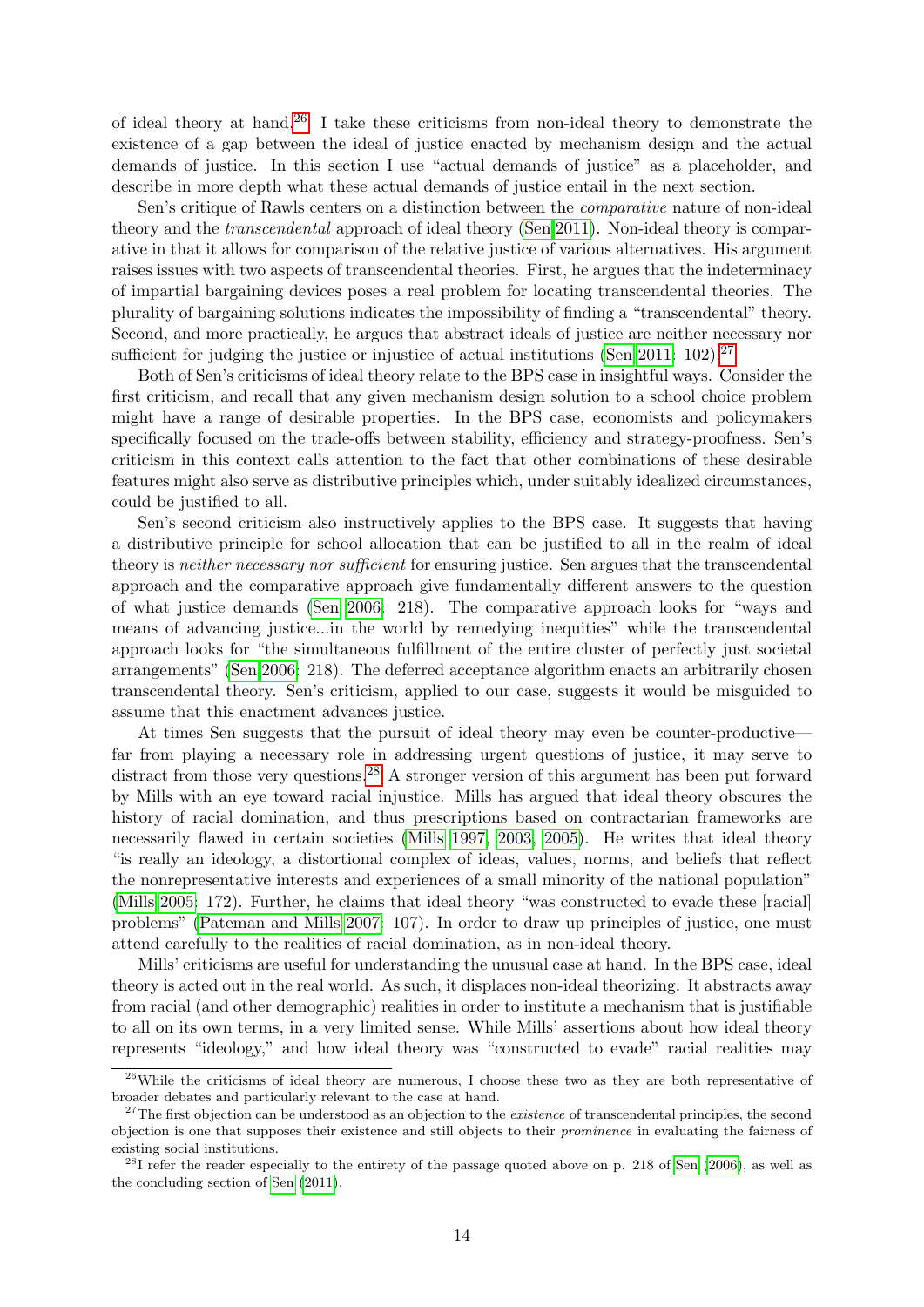of ideal theory at hand.<sup>[26](#page-13-0)</sup> I take these criticisms from non-ideal theory to demonstrate the existence of a gap between the ideal of justice enacted by mechanism design and the actual demands of justice. In this section I use "actual demands of justice" as a placeholder, and describe in more depth what these actual demands of justice entail in the next section.

Sen's critique of Rawls centers on a distinction between the comparative nature of non-ideal theory and the *transcendental* approach of ideal theory [\(Sen 2011\)](#page-24-14). Non-ideal theory is comparative in that it allows for comparison of the relative justice of various alternatives. His argument raises issues with two aspects of transcendental theories. First, he argues that the indeterminacy of impartial bargaining devices poses a real problem for locating transcendental theories. The plurality of bargaining solutions indicates the impossibility of finding a "transcendental" theory. Second, and more practically, he argues that abstract ideals of justice are neither necessary nor sufficient for judging the justice or injustice of actual institutions [\(Sen 2011:](#page-24-14)  $102$ ).<sup>[27](#page-13-1)</sup>

Both of Sen's criticisms of ideal theory relate to the BPS case in insightful ways. Consider the first criticism, and recall that any given mechanism design solution to a school choice problem might have a range of desirable properties. In the BPS case, economists and policymakers specifically focused on the trade-offs between stability, efficiency and strategy-proofness. Sen's criticism in this context calls attention to the fact that other combinations of these desirable features might also serve as distributive principles which, under suitably idealized circumstances, could be justified to all.

Sen's second criticism also instructively applies to the BPS case. It suggests that having a distributive principle for school allocation that can be justified to all in the realm of ideal theory is *neither necessary nor sufficient* for ensuring justice. Sen argues that the transcendental approach and the comparative approach give fundamentally different answers to the question of what justice demands [\(Sen 2006:](#page-24-15) 218). The comparative approach looks for "ways and means of advancing justice...in the world by remedying inequities" while the transcendental approach looks for "the simultaneous fulfillment of the entire cluster of perfectly just societal arrangements" [\(Sen 2006:](#page-24-15) 218). The deferred acceptance algorithm enacts an arbitrarily chosen transcendental theory. Sen's criticism, applied to our case, suggests it would be misguided to assume that this enactment advances justice.

At times Sen suggests that the pursuit of ideal theory may even be counter-productive far from playing a necessary role in addressing urgent questions of justice, it may serve to distract from those very questions.<sup>[28](#page-13-2)</sup> A stronger version of this argument has been put forward by Mills with an eye toward racial injustice. Mills has argued that ideal theory obscures the history of racial domination, and thus prescriptions based on contractarian frameworks are necessarily flawed in certain societies [\(Mills 1997,](#page-23-11) [2003,](#page-23-12) [2005\)](#page-23-13). He writes that ideal theory "is really an ideology, a distortional complex of ideas, values, norms, and beliefs that reflect the nonrepresentative interests and experiences of a small minority of the national population" [\(Mills 2005:](#page-23-13) 172). Further, he claims that ideal theory "was constructed to evade these [racial] problems" [\(Pateman and Mills 2007:](#page-23-14) 107). In order to draw up principles of justice, one must attend carefully to the realities of racial domination, as in non-ideal theory.

Mills' criticisms are useful for understanding the unusual case at hand. In the BPS case, ideal theory is acted out in the real world. As such, it displaces non-ideal theorizing. It abstracts away from racial (and other demographic) realities in order to institute a mechanism that is justifiable to all on its own terms, in a very limited sense. While Mills' assertions about how ideal theory represents "ideology," and how ideal theory was "constructed to evade" racial realities may

<span id="page-13-0"></span><sup>&</sup>lt;sup>26</sup>While the criticisms of ideal theory are numerous, I choose these two as they are both representative of broader debates and particularly relevant to the case at hand.

<span id="page-13-1"></span> $27$ The first objection can be understood as an objection to the *existence* of transcendental principles, the second objection is one that supposes their existence and still objects to their prominence in evaluating the fairness of existing social institutions.

<span id="page-13-2"></span> $^{28}$ I refer the reader especially to the entirety of the passage quoted above on p. 218 of [Sen](#page-24-15) [\(2006\)](#page-24-15), as well as the concluding section of [Sen](#page-24-14) [\(2011\)](#page-24-14).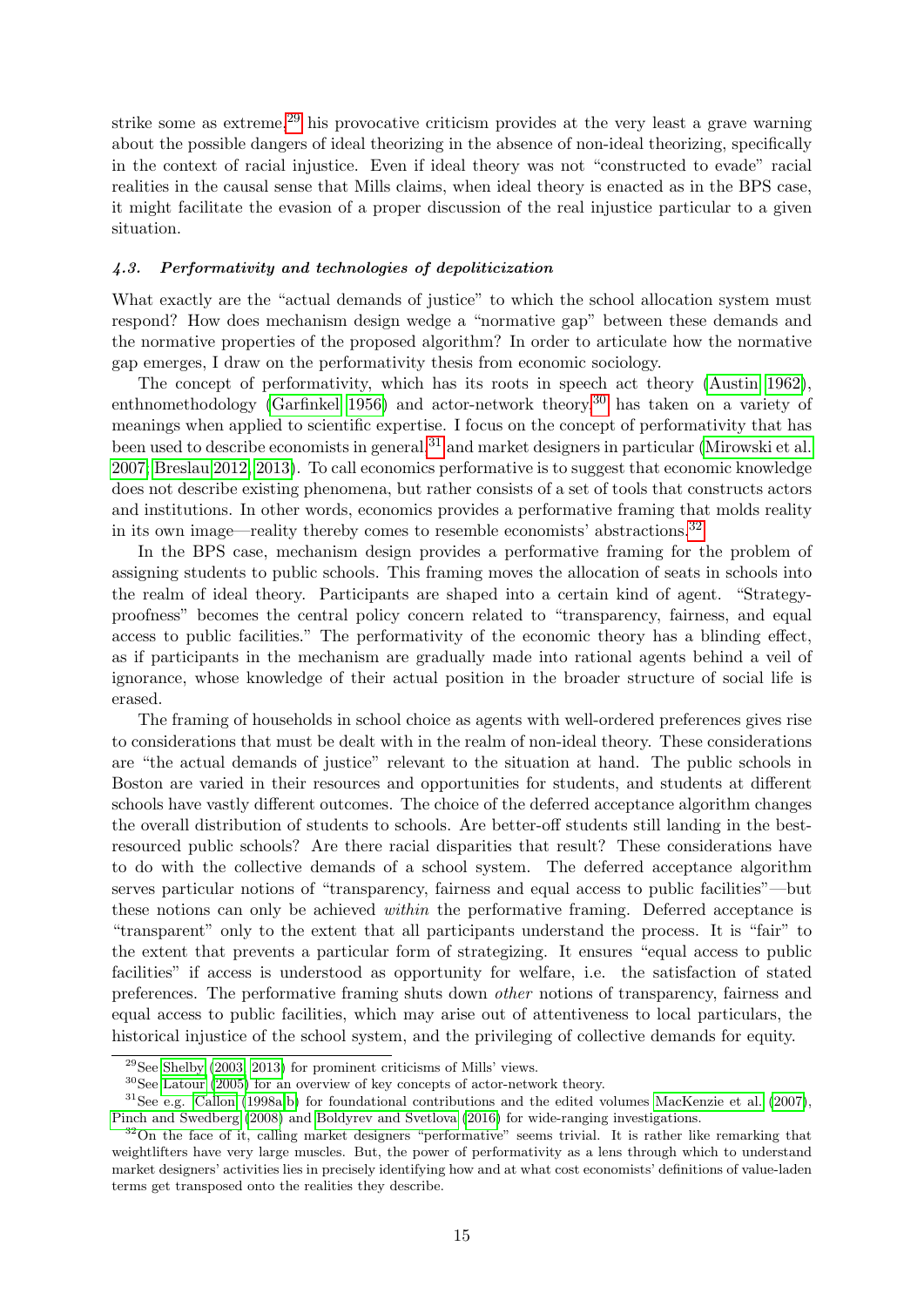strike some as extreme,<sup>[29](#page-14-0)</sup> his provocative criticism provides at the very least a grave warning about the possible dangers of ideal theorizing in the absence of non-ideal theorizing, specifically in the context of racial injustice. Even if ideal theory was not "constructed to evade" racial realities in the causal sense that Mills claims, when ideal theory is enacted as in the BPS case, it might facilitate the evasion of a proper discussion of the real injustice particular to a given situation.

## 4.3. Performativity and technologies of depoliticization

What exactly are the "actual demands of justice" to which the school allocation system must respond? How does mechanism design wedge a "normative gap" between these demands and the normative properties of the proposed algorithm? In order to articulate how the normative gap emerges, I draw on the performativity thesis from economic sociology.

The concept of performativity, which has its roots in speech act theory [\(Austin 1962\)](#page-21-15), enthnomethodology [\(Garfinkel 1956\)](#page-22-13) and actor-network theory,<sup>[30](#page-14-1)</sup> has taken on a variety of meanings when applied to scientific expertise. I focus on the concept of performativity that has been used to describe economists in general,<sup>[31](#page-14-2)</sup> and market designers in particular [\(Mirowski et al.](#page-23-0) [2007;](#page-23-0) [Breslau 2012,](#page-21-1) [2013\)](#page-21-2). To call economics performative is to suggest that economic knowledge does not describe existing phenomena, but rather consists of a set of tools that constructs actors and institutions. In other words, economics provides a performative framing that molds reality in its own image—reality thereby comes to resemble economists' abstractions.<sup>[32](#page-14-3)</sup>

In the BPS case, mechanism design provides a performative framing for the problem of assigning students to public schools. This framing moves the allocation of seats in schools into the realm of ideal theory. Participants are shaped into a certain kind of agent. "Strategyproofness" becomes the central policy concern related to "transparency, fairness, and equal access to public facilities." The performativity of the economic theory has a blinding effect, as if participants in the mechanism are gradually made into rational agents behind a veil of ignorance, whose knowledge of their actual position in the broader structure of social life is erased.

The framing of households in school choice as agents with well-ordered preferences gives rise to considerations that must be dealt with in the realm of non-ideal theory. These considerations are "the actual demands of justice" relevant to the situation at hand. The public schools in Boston are varied in their resources and opportunities for students, and students at different schools have vastly different outcomes. The choice of the deferred acceptance algorithm changes the overall distribution of students to schools. Are better-off students still landing in the bestresourced public schools? Are there racial disparities that result? These considerations have to do with the collective demands of a school system. The deferred acceptance algorithm serves particular notions of "transparency, fairness and equal access to public facilities"—but these notions can only be achieved within the performative framing. Deferred acceptance is "transparent" only to the extent that all participants understand the process. It is "fair" to the extent that prevents a particular form of strategizing. It ensures "equal access to public facilities" if access is understood as opportunity for welfare, i.e. the satisfaction of stated preferences. The performative framing shuts down other notions of transparency, fairness and equal access to public facilities, which may arise out of attentiveness to local particulars, the historical injustice of the school system, and the privileging of collective demands for equity.

<span id="page-14-0"></span> $^{29}$ See [Shelby](#page-24-16) [\(2003,](#page-24-16) [2013\)](#page-24-17) for prominent criticisms of Mills' views.

<span id="page-14-2"></span><span id="page-14-1"></span> $30$ See [Latour](#page-23-15) [\(2005\)](#page-23-15) for an overview of key concepts of actor-network theory.

 $31$ See e.g. [Callon](#page-21-16) [\(1998a,](#page-21-16)[b\)](#page-21-0) for foundational contributions and the edited volumes [MacKenzie et al.](#page-23-16) [\(2007\)](#page-23-16), [Pinch and Swedberg](#page-24-18) [\(2008\)](#page-24-18) and [Boldyrev and Svetlova](#page-21-17) [\(2016\)](#page-21-17) for wide-ranging investigations.

<span id="page-14-3"></span><sup>&</sup>lt;sup>32</sup>On the face of it, calling market designers "performative" seems trivial. It is rather like remarking that weightlifters have very large muscles. But, the power of performativity as a lens through which to understand market designers' activities lies in precisely identifying how and at what cost economists' definitions of value-laden terms get transposed onto the realities they describe.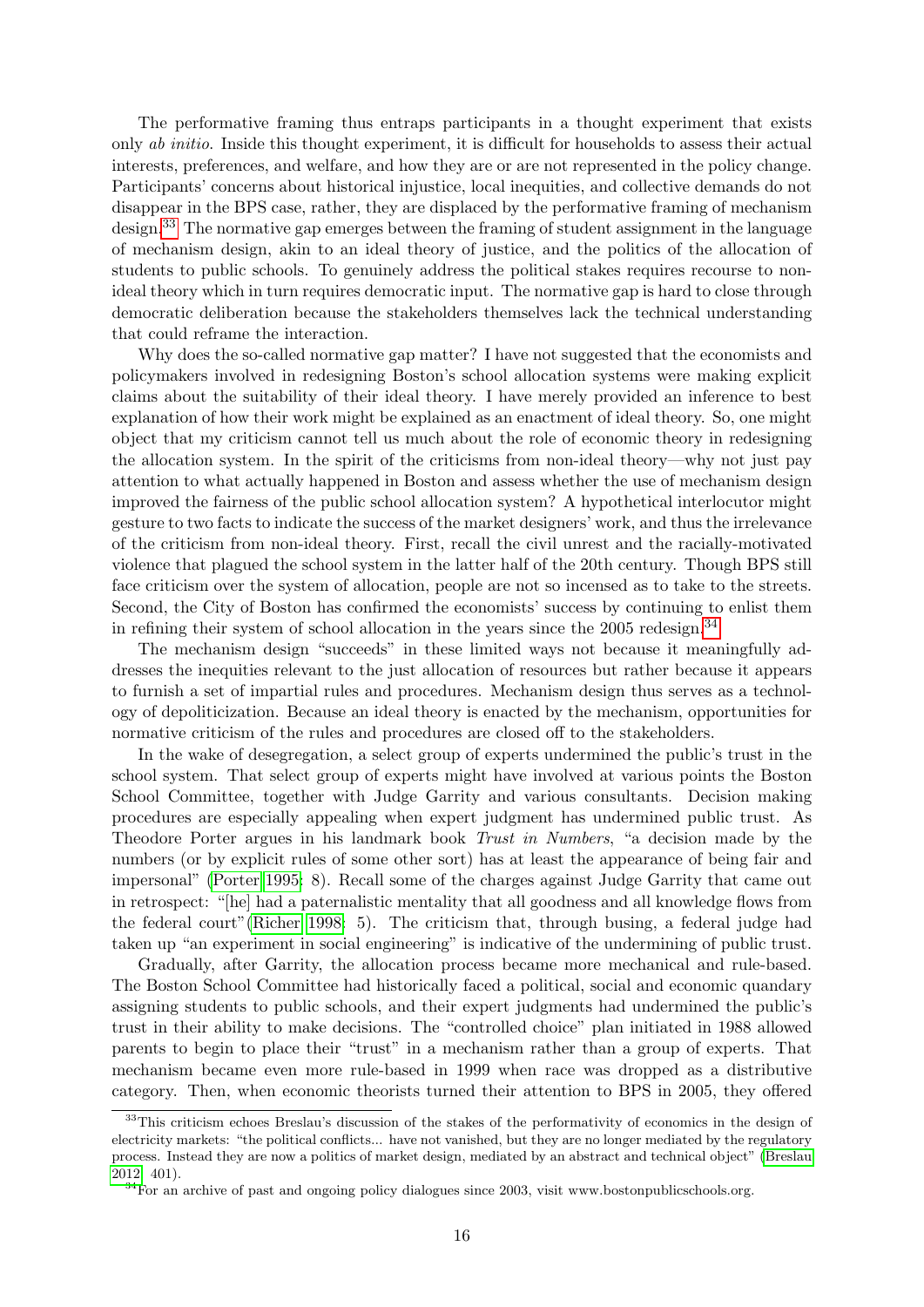The performative framing thus entraps participants in a thought experiment that exists only ab initio. Inside this thought experiment, it is difficult for households to assess their actual interests, preferences, and welfare, and how they are or are not represented in the policy change. Participants' concerns about historical injustice, local inequities, and collective demands do not disappear in the BPS case, rather, they are displaced by the performative framing of mechanism design.[33](#page-15-0) The normative gap emerges between the framing of student assignment in the language of mechanism design, akin to an ideal theory of justice, and the politics of the allocation of students to public schools. To genuinely address the political stakes requires recourse to nonideal theory which in turn requires democratic input. The normative gap is hard to close through democratic deliberation because the stakeholders themselves lack the technical understanding that could reframe the interaction.

Why does the so-called normative gap matter? I have not suggested that the economists and policymakers involved in redesigning Boston's school allocation systems were making explicit claims about the suitability of their ideal theory. I have merely provided an inference to best explanation of how their work might be explained as an enactment of ideal theory. So, one might object that my criticism cannot tell us much about the role of economic theory in redesigning the allocation system. In the spirit of the criticisms from non-ideal theory—why not just pay attention to what actually happened in Boston and assess whether the use of mechanism design improved the fairness of the public school allocation system? A hypothetical interlocutor might gesture to two facts to indicate the success of the market designers' work, and thus the irrelevance of the criticism from non-ideal theory. First, recall the civil unrest and the racially-motivated violence that plagued the school system in the latter half of the 20th century. Though BPS still face criticism over the system of allocation, people are not so incensed as to take to the streets. Second, the City of Boston has confirmed the economists' success by continuing to enlist them in refining their system of school allocation in the years since the 2005 redesign.<sup>[34](#page-15-1)</sup>

The mechanism design "succeeds" in these limited ways not because it meaningfully addresses the inequities relevant to the just allocation of resources but rather because it appears to furnish a set of impartial rules and procedures. Mechanism design thus serves as a technology of depoliticization. Because an ideal theory is enacted by the mechanism, opportunities for normative criticism of the rules and procedures are closed off to the stakeholders.

In the wake of desegregation, a select group of experts undermined the public's trust in the school system. That select group of experts might have involved at various points the Boston School Committee, together with Judge Garrity and various consultants. Decision making procedures are especially appealing when expert judgment has undermined public trust. As Theodore Porter argues in his landmark book Trust in Numbers, "a decision made by the numbers (or by explicit rules of some other sort) has at least the appearance of being fair and impersonal" [\(Porter 1995:](#page-24-19) 8). Recall some of the charges against Judge Garrity that came out in retrospect: "[he] had a paternalistic mentality that all goodness and all knowledge flows from the federal court"[\(Richer 1998:](#page-24-3) 5). The criticism that, through busing, a federal judge had taken up "an experiment in social engineering" is indicative of the undermining of public trust.

Gradually, after Garrity, the allocation process became more mechanical and rule-based. The Boston School Committee had historically faced a political, social and economic quandary assigning students to public schools, and their expert judgments had undermined the public's trust in their ability to make decisions. The "controlled choice" plan initiated in 1988 allowed parents to begin to place their "trust" in a mechanism rather than a group of experts. That mechanism became even more rule-based in 1999 when race was dropped as a distributive category. Then, when economic theorists turned their attention to BPS in 2005, they offered

<span id="page-15-0"></span><sup>&</sup>lt;sup>33</sup>This criticism echoes Breslau's discussion of the stakes of the performativity of economics in the design of electricity markets: "the political conflicts... have not vanished, but they are no longer mediated by the regulatory process. Instead they are now a politics of market design, mediated by an abstract and technical object" [\(Breslau](#page-21-1) [2012:](#page-21-1) 401).

<span id="page-15-1"></span><sup>&</sup>lt;sup>34</sup>For an archive of past and ongoing policy dialogues since 2003, visit www.bostonpublicschools.org.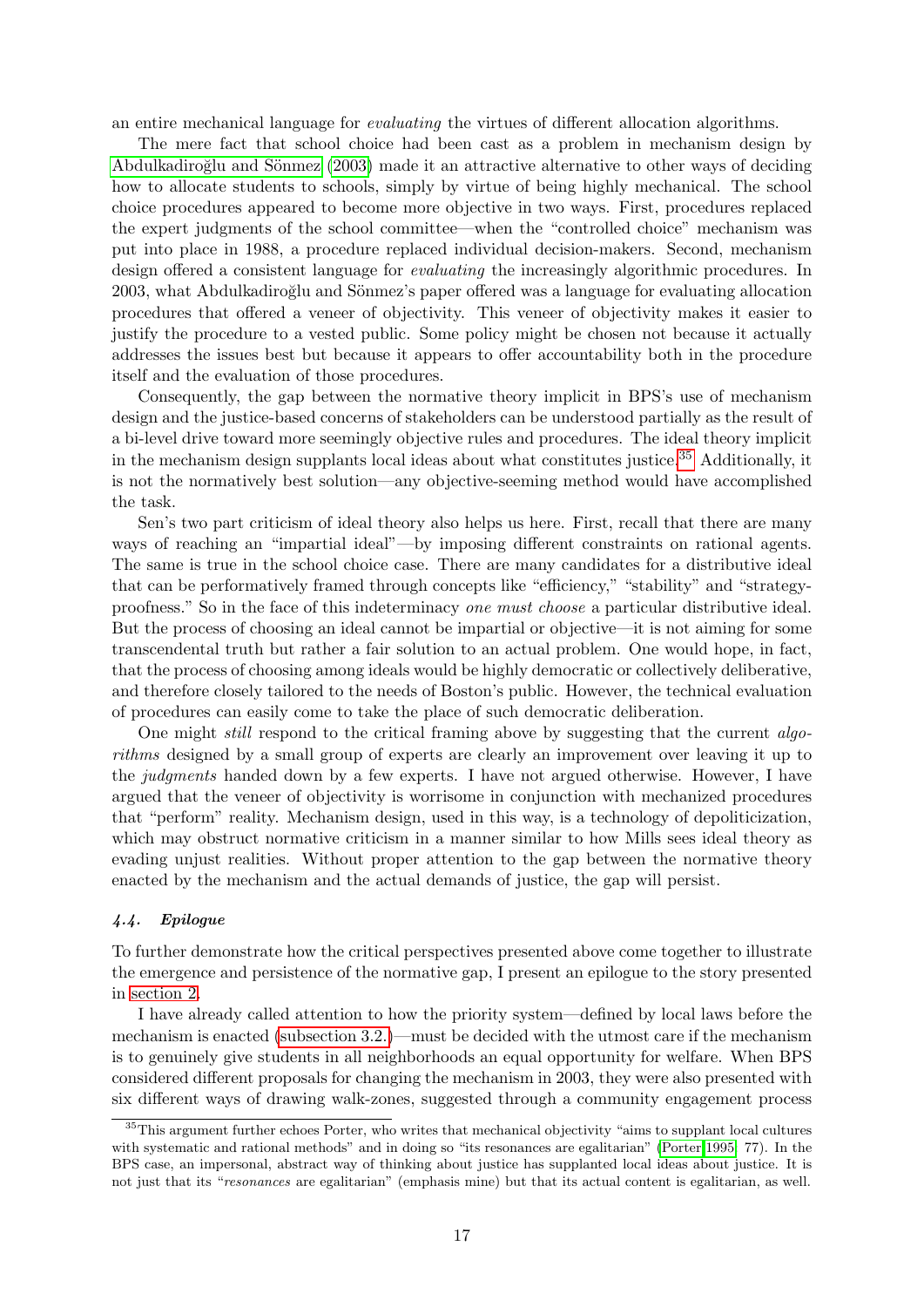an entire mechanical language for evaluating the virtues of different allocation algorithms.

The mere fact that school choice had been cast as a problem in mechanism design by Abdulkadiroğlu and Sönmez [\(2003\)](#page-20-0) made it an attractive alternative to other ways of deciding how to allocate students to schools, simply by virtue of being highly mechanical. The school choice procedures appeared to become more objective in two ways. First, procedures replaced the expert judgments of the school committee—when the "controlled choice" mechanism was put into place in 1988, a procedure replaced individual decision-makers. Second, mechanism design offered a consistent language for *evaluating* the increasingly algorithmic procedures. In 2003, what Abdulkadiroğlu and Sönmez's paper offered was a language for evaluating allocation procedures that offered a veneer of objectivity. This veneer of objectivity makes it easier to justify the procedure to a vested public. Some policy might be chosen not because it actually addresses the issues best but because it appears to offer accountability both in the procedure itself and the evaluation of those procedures.

Consequently, the gap between the normative theory implicit in BPS's use of mechanism design and the justice-based concerns of stakeholders can be understood partially as the result of a bi-level drive toward more seemingly objective rules and procedures. The ideal theory implicit in the mechanism design supplants local ideas about what constitutes justice.[35](#page-16-0) Additionally, it is not the normatively best solution—any objective-seeming method would have accomplished the task.

Sen's two part criticism of ideal theory also helps us here. First, recall that there are many ways of reaching an "impartial ideal"—by imposing different constraints on rational agents. The same is true in the school choice case. There are many candidates for a distributive ideal that can be performatively framed through concepts like "efficiency," "stability" and "strategyproofness." So in the face of this indeterminacy one must choose a particular distributive ideal. But the process of choosing an ideal cannot be impartial or objective—it is not aiming for some transcendental truth but rather a fair solution to an actual problem. One would hope, in fact, that the process of choosing among ideals would be highly democratic or collectively deliberative, and therefore closely tailored to the needs of Boston's public. However, the technical evaluation of procedures can easily come to take the place of such democratic deliberation.

One might still respond to the critical framing above by suggesting that the current algorithms designed by a small group of experts are clearly an improvement over leaving it up to the judgments handed down by a few experts. I have not argued otherwise. However, I have argued that the veneer of objectivity is worrisome in conjunction with mechanized procedures that "perform" reality. Mechanism design, used in this way, is a technology of depoliticization, which may obstruct normative criticism in a manner similar to how Mills sees ideal theory as evading unjust realities. Without proper attention to the gap between the normative theory enacted by the mechanism and the actual demands of justice, the gap will persist.

## 4.4. Epilogue

To further demonstrate how the critical perspectives presented above come together to illustrate the emergence and persistence of the normative gap, I present an epilogue to the story presented in [section 2.](#page-2-0)

I have already called attention to how the priority system—defined by local laws before the mechanism is enacted [\(subsection 3.2.\)](#page-8-1)—must be decided with the utmost care if the mechanism is to genuinely give students in all neighborhoods an equal opportunity for welfare. When BPS considered different proposals for changing the mechanism in 2003, they were also presented with six different ways of drawing walk-zones, suggested through a community engagement process

<span id="page-16-0"></span><sup>&</sup>lt;sup>35</sup>This argument further echoes Porter, who writes that mechanical objectivity "aims to supplant local cultures with systematic and rational methods" and in doing so "its resonances are egalitarian" [\(Porter 1995:](#page-24-19) 77). In the BPS case, an impersonal, abstract way of thinking about justice has supplanted local ideas about justice. It is not just that its "resonances are egalitarian" (emphasis mine) but that its actual content is egalitarian, as well.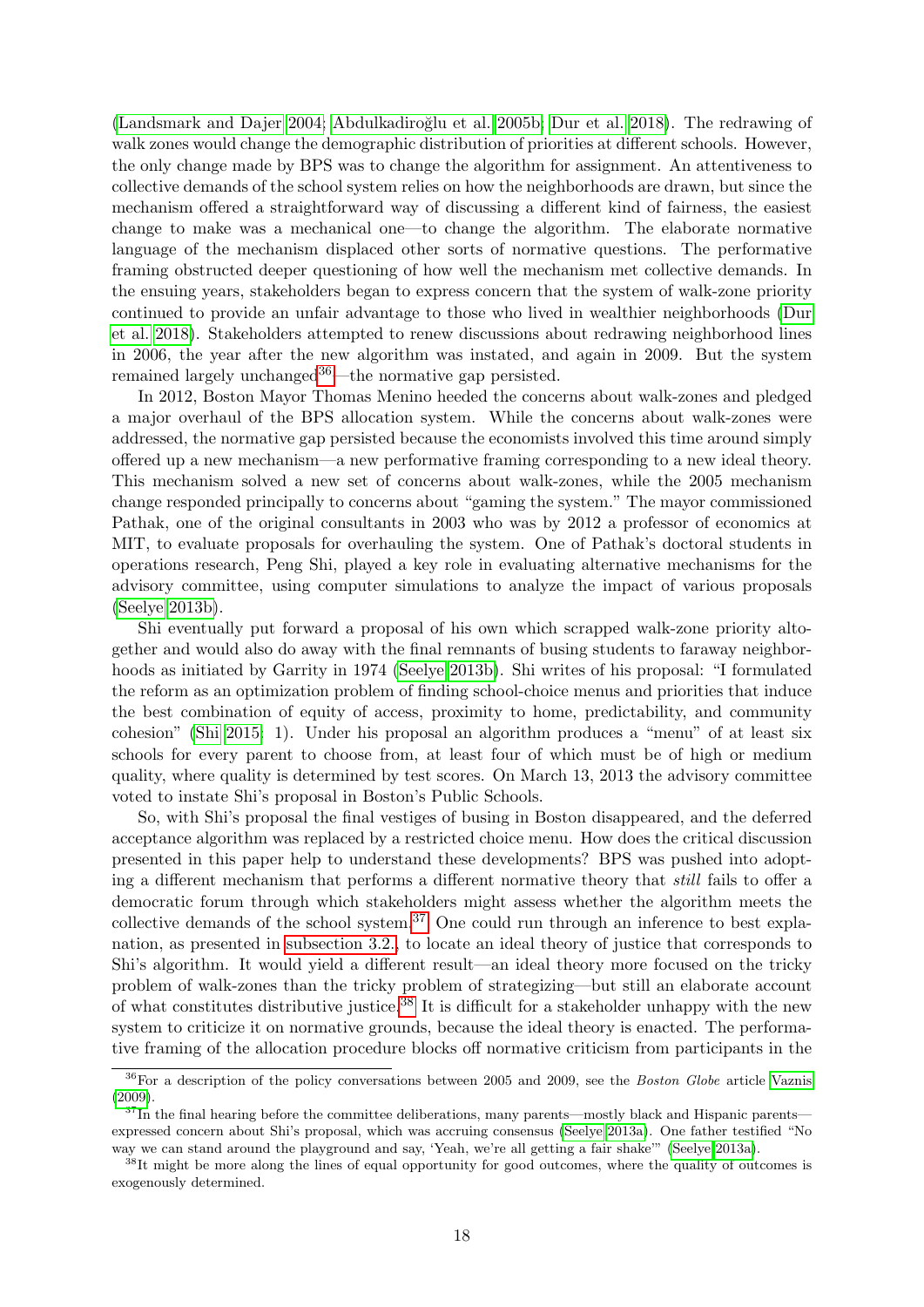[\(Landsmark and Dajer 2004;](#page-23-17) Abdulkadiroğlu et al. 2005b; [Dur et al. 2018\)](#page-22-14). The redrawing of walk zones would change the demographic distribution of priorities at different schools. However, the only change made by BPS was to change the algorithm for assignment. An attentiveness to collective demands of the school system relies on how the neighborhoods are drawn, but since the mechanism offered a straightforward way of discussing a different kind of fairness, the easiest change to make was a mechanical one—to change the algorithm. The elaborate normative language of the mechanism displaced other sorts of normative questions. The performative framing obstructed deeper questioning of how well the mechanism met collective demands. In the ensuing years, stakeholders began to express concern that the system of walk-zone priority continued to provide an unfair advantage to those who lived in wealthier neighborhoods [\(Dur](#page-22-14) [et al. 2018\)](#page-22-14). Stakeholders attempted to renew discussions about redrawing neighborhood lines in 2006, the year after the new algorithm was instated, and again in 2009. But the system remained largely unchanged<sup>[36](#page-17-0)</sup>—the normative gap persisted.

In 2012, Boston Mayor Thomas Menino heeded the concerns about walk-zones and pledged a major overhaul of the BPS allocation system. While the concerns about walk-zones were addressed, the normative gap persisted because the economists involved this time around simply offered up a new mechanism—a new performative framing corresponding to a new ideal theory. This mechanism solved a new set of concerns about walk-zones, while the 2005 mechanism change responded principally to concerns about "gaming the system." The mayor commissioned Pathak, one of the original consultants in 2003 who was by 2012 a professor of economics at MIT, to evaluate proposals for overhauling the system. One of Pathak's doctoral students in operations research, Peng Shi, played a key role in evaluating alternative mechanisms for the advisory committee, using computer simulations to analyze the impact of various proposals [\(Seelye 2013b\)](#page-24-20).

Shi eventually put forward a proposal of his own which scrapped walk-zone priority altogether and would also do away with the final remnants of busing students to faraway neighborhoods as initiated by Garrity in 1974 [\(Seelye 2013b\)](#page-24-20). Shi writes of his proposal: "I formulated the reform as an optimization problem of finding school-choice menus and priorities that induce the best combination of equity of access, proximity to home, predictability, and community cohesion" [\(Shi 2015:](#page-24-21) 1). Under his proposal an algorithm produces a "menu" of at least six schools for every parent to choose from, at least four of which must be of high or medium quality, where quality is determined by test scores. On March 13, 2013 the advisory committee voted to instate Shi's proposal in Boston's Public Schools.

So, with Shi's proposal the final vestiges of busing in Boston disappeared, and the deferred acceptance algorithm was replaced by a restricted choice menu. How does the critical discussion presented in this paper help to understand these developments? BPS was pushed into adopting a different mechanism that performs a different normative theory that still fails to offer a democratic forum through which stakeholders might assess whether the algorithm meets the collective demands of the school system.<sup>[37](#page-17-1)</sup> One could run through an inference to best explanation, as presented in [subsection 3.2.,](#page-8-1) to locate an ideal theory of justice that corresponds to Shi's algorithm. It would yield a different result—an ideal theory more focused on the tricky problem of walk-zones than the tricky problem of strategizing—but still an elaborate account of what constitutes distributive justice.[38](#page-17-2) It is difficult for a stakeholder unhappy with the new system to criticize it on normative grounds, because the ideal theory is enacted. The performative framing of the allocation procedure blocks off normative criticism from participants in the

<span id="page-17-0"></span><sup>&</sup>lt;sup>36</sup>For a description of the policy conversations between 2005 and 2009, see the *Boston Globe* article [Vaznis](#page-25-3) [\(2009\)](#page-25-3).

<span id="page-17-1"></span> $37\text{In}$  the final hearing before the committee deliberations, many parents—mostly black and Hispanic parents expressed concern about Shi's proposal, which was accruing consensus [\(Seelye 2013a\)](#page-24-22). One father testified "No way we can stand around the playground and say, 'Yeah, we're all getting a fair shake'" [\(Seelye 2013a\)](#page-24-22).

<span id="page-17-2"></span> $38$ It might be more along the lines of equal opportunity for good outcomes, where the quality of outcomes is exogenously determined.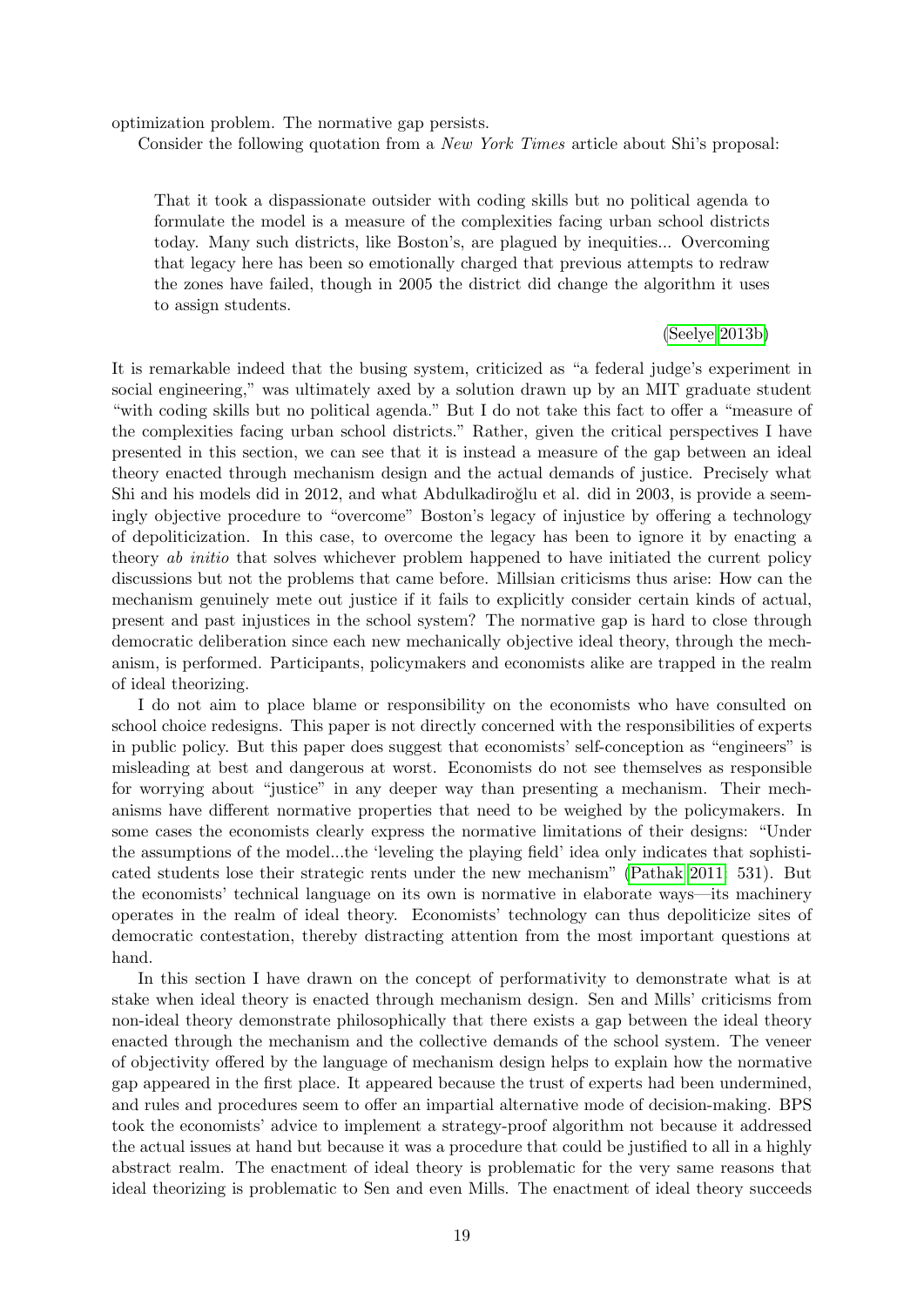optimization problem. The normative gap persists.

Consider the following quotation from a New York Times article about Shi's proposal:

That it took a dispassionate outsider with coding skills but no political agenda to formulate the model is a measure of the complexities facing urban school districts today. Many such districts, like Boston's, are plagued by inequities... Overcoming that legacy here has been so emotionally charged that previous attempts to redraw the zones have failed, though in 2005 the district did change the algorithm it uses to assign students.

[\(Seelye 2013b\)](#page-24-20)

It is remarkable indeed that the busing system, criticized as "a federal judge's experiment in social engineering," was ultimately axed by a solution drawn up by an MIT graduate student "with coding skills but no political agenda." But I do not take this fact to offer a "measure of the complexities facing urban school districts." Rather, given the critical perspectives I have presented in this section, we can see that it is instead a measure of the gap between an ideal theory enacted through mechanism design and the actual demands of justice. Precisely what Shi and his models did in 2012, and what Abdulkadiroğlu et al. did in 2003, is provide a seemingly objective procedure to "overcome" Boston's legacy of injustice by offering a technology of depoliticization. In this case, to overcome the legacy has been to ignore it by enacting a theory ab initio that solves whichever problem happened to have initiated the current policy discussions but not the problems that came before. Millsian criticisms thus arise: How can the mechanism genuinely mete out justice if it fails to explicitly consider certain kinds of actual, present and past injustices in the school system? The normative gap is hard to close through democratic deliberation since each new mechanically objective ideal theory, through the mechanism, is performed. Participants, policymakers and economists alike are trapped in the realm of ideal theorizing.

I do not aim to place blame or responsibility on the economists who have consulted on school choice redesigns. This paper is not directly concerned with the responsibilities of experts in public policy. But this paper does suggest that economists' self-conception as "engineers" is misleading at best and dangerous at worst. Economists do not see themselves as responsible for worrying about "justice" in any deeper way than presenting a mechanism. Their mechanisms have different normative properties that need to be weighed by the policymakers. In some cases the economists clearly express the normative limitations of their designs: "Under the assumptions of the model...the 'leveling the playing field' idea only indicates that sophisticated students lose their strategic rents under the new mechanism" [\(Pathak 2011:](#page-23-9) 531). But the economists' technical language on its own is normative in elaborate ways—its machinery operates in the realm of ideal theory. Economists' technology can thus depoliticize sites of democratic contestation, thereby distracting attention from the most important questions at hand.

In this section I have drawn on the concept of performativity to demonstrate what is at stake when ideal theory is enacted through mechanism design. Sen and Mills' criticisms from non-ideal theory demonstrate philosophically that there exists a gap between the ideal theory enacted through the mechanism and the collective demands of the school system. The veneer of objectivity offered by the language of mechanism design helps to explain how the normative gap appeared in the first place. It appeared because the trust of experts had been undermined, and rules and procedures seem to offer an impartial alternative mode of decision-making. BPS took the economists' advice to implement a strategy-proof algorithm not because it addressed the actual issues at hand but because it was a procedure that could be justified to all in a highly abstract realm. The enactment of ideal theory is problematic for the very same reasons that ideal theorizing is problematic to Sen and even Mills. The enactment of ideal theory succeeds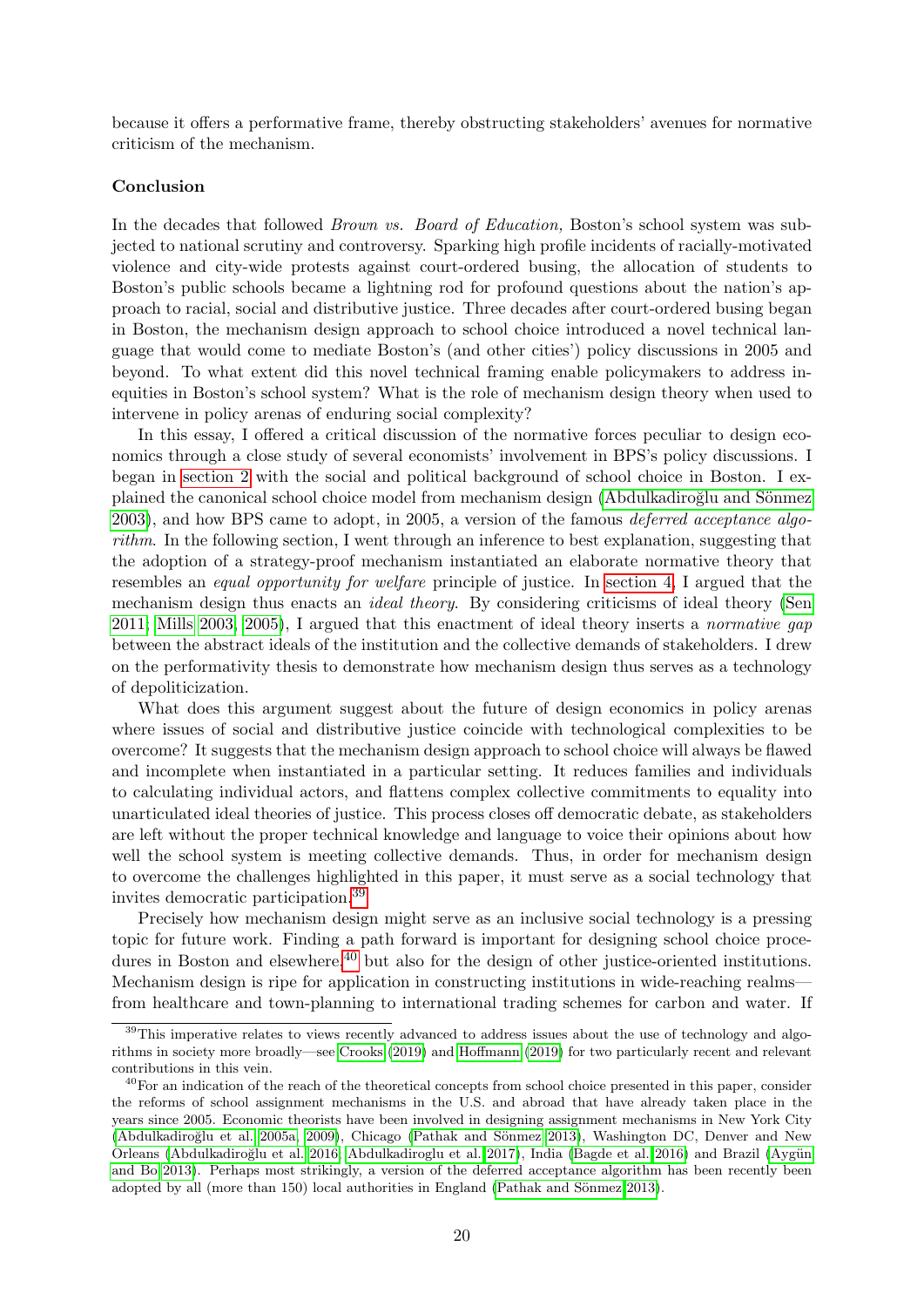because it offers a performative frame, thereby obstructing stakeholders' avenues for normative criticism of the mechanism.

## Conclusion

In the decades that followed *Brown vs. Board of Education*, Boston's school system was subjected to national scrutiny and controversy. Sparking high profile incidents of racially-motivated violence and city-wide protests against court-ordered busing, the allocation of students to Boston's public schools became a lightning rod for profound questions about the nation's approach to racial, social and distributive justice. Three decades after court-ordered busing began in Boston, the mechanism design approach to school choice introduced a novel technical language that would come to mediate Boston's (and other cities') policy discussions in 2005 and beyond. To what extent did this novel technical framing enable policymakers to address inequities in Boston's school system? What is the role of mechanism design theory when used to intervene in policy arenas of enduring social complexity?

In this essay, I offered a critical discussion of the normative forces peculiar to design economics through a close study of several economists' involvement in BPS's policy discussions. I began in [section 2](#page-2-0) with the social and political background of school choice in Boston. I explained the canonical school choice model from mechanism design (Abdulkadiroğlu and Sönmez [2003\)](#page-20-0), and how BPS came to adopt, in 2005, a version of the famous deferred acceptance algorithm. In the following section, I went through an inference to best explanation, suggesting that the adoption of a strategy-proof mechanism instantiated an elaborate normative theory that resembles an equal opportunity for welfare principle of justice. In [section 4,](#page-11-0) I argued that the mechanism design thus enacts an ideal theory. By considering criticisms of ideal theory [\(Sen](#page-24-14) [2011;](#page-24-14) [Mills 2003,](#page-23-12) [2005\)](#page-23-13), I argued that this enactment of ideal theory inserts a normative gap between the abstract ideals of the institution and the collective demands of stakeholders. I drew on the performativity thesis to demonstrate how mechanism design thus serves as a technology of depoliticization.

What does this argument suggest about the future of design economics in policy arenas where issues of social and distributive justice coincide with technological complexities to be overcome? It suggests that the mechanism design approach to school choice will always be flawed and incomplete when instantiated in a particular setting. It reduces families and individuals to calculating individual actors, and flattens complex collective commitments to equality into unarticulated ideal theories of justice. This process closes off democratic debate, as stakeholders are left without the proper technical knowledge and language to voice their opinions about how well the school system is meeting collective demands. Thus, in order for mechanism design to overcome the challenges highlighted in this paper, it must serve as a social technology that invites democratic participation.[39](#page-19-0)

Precisely how mechanism design might serve as an inclusive social technology is a pressing topic for future work. Finding a path forward is important for designing school choice proce-dures in Boston and elsewhere,<sup>[40](#page-19-1)</sup> but also for the design of other justice-oriented institutions. Mechanism design is ripe for application in constructing institutions in wide-reaching realms from healthcare and town-planning to international trading schemes for carbon and water. If

<span id="page-19-0"></span><sup>&</sup>lt;sup>39</sup>This imperative relates to views recently advanced to address issues about the use of technology and algorithms in society more broadly—see [Crooks](#page-22-15) [\(2019\)](#page-22-15) and [Hoffmann](#page-22-16) [\(2019\)](#page-22-16) for two particularly recent and relevant contributions in this vein.

<span id="page-19-1"></span> $^{40}$ For an indication of the reach of the theoretical concepts from school choice presented in this paper, consider the reforms of school assignment mechanisms in the U.S. and abroad that have already taken place in the years since 2005. Economic theorists have been involved in designing assignment mechanisms in New York City (Abdulkadiroğlu et al. 2005a, [2009\)](#page-20-5), Chicago (Pathak and Sönmez 2013), Washington DC, Denver and New Orleans (Abdulkadiroğlu et al. 2016; [Abdulkadiroglu et al. 2017\)](#page-20-7), India [\(Bagde et al. 2016\)](#page-21-18) and Brazil (Aygün [and Bo 2013\)](#page-21-19). Perhaps most strikingly, a version of the deferred acceptance algorithm has been recently been adopted by all (more than 150) local authorities in England (Pathak and Sönmez 2013).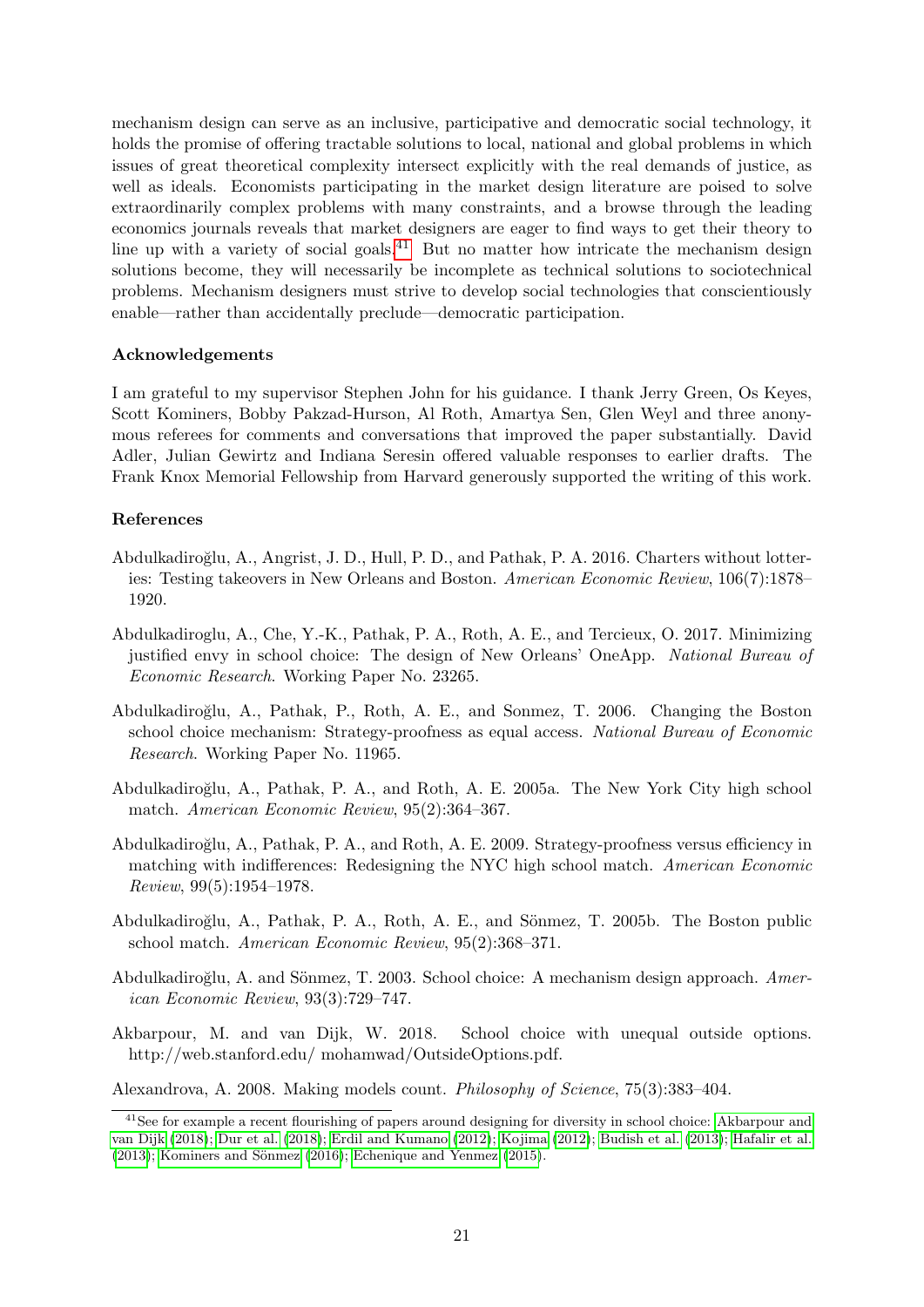mechanism design can serve as an inclusive, participative and democratic social technology, it holds the promise of offering tractable solutions to local, national and global problems in which issues of great theoretical complexity intersect explicitly with the real demands of justice, as well as ideals. Economists participating in the market design literature are poised to solve extraordinarily complex problems with many constraints, and a browse through the leading economics journals reveals that market designers are eager to find ways to get their theory to line up with a variety of social goals.<sup>[41](#page-20-8)</sup> But no matter how intricate the mechanism design solutions become, they will necessarily be incomplete as technical solutions to sociotechnical problems. Mechanism designers must strive to develop social technologies that conscientiously enable—rather than accidentally preclude—democratic participation.

# Acknowledgements

I am grateful to my supervisor Stephen John for his guidance. I thank Jerry Green, Os Keyes, Scott Kominers, Bobby Pakzad-Hurson, Al Roth, Amartya Sen, Glen Weyl and three anonymous referees for comments and conversations that improved the paper substantially. David Adler, Julian Gewirtz and Indiana Seresin offered valuable responses to earlier drafts. The Frank Knox Memorial Fellowship from Harvard generously supported the writing of this work.

# References

- <span id="page-20-6"></span>Abdulkadiro˘glu, A., Angrist, J. D., Hull, P. D., and Pathak, P. A. 2016. Charters without lotteries: Testing takeovers in New Orleans and Boston. American Economic Review, 106(7):1878– 1920.
- <span id="page-20-7"></span>Abdulkadiroglu, A., Che, Y.-K., Pathak, P. A., Roth, A. E., and Tercieux, O. 2017. Minimizing justified envy in school choice: The design of New Orleans' OneApp. National Bureau of Economic Research. Working Paper No. 23265.
- <span id="page-20-4"></span>Abdulkadiro˘glu, A., Pathak, P., Roth, A. E., and Sonmez, T. 2006. Changing the Boston school choice mechanism: Strategy-proofness as equal access. National Bureau of Economic Research. Working Paper No. 11965.
- <span id="page-20-2"></span>Abdulkadiroğlu, A., Pathak, P. A., and Roth, A. E. 2005a. The New York City high school match. American Economic Review, 95(2):364–367.
- <span id="page-20-5"></span>Abdulkadiro˘glu, A., Pathak, P. A., and Roth, A. E. 2009. Strategy-proofness versus efficiency in matching with indifferences: Redesigning the NYC high school match. American Economic Review, 99(5):1954–1978.
- <span id="page-20-1"></span>Abdulkadiroğlu, A., Pathak, P. A., Roth, A. E., and Sönmez, T. 2005b. The Boston public school match. American Economic Review, 95(2):368–371.
- <span id="page-20-0"></span>Abdulkadiroğlu, A. and Sönmez, T. 2003. School choice: A mechanism design approach.  $Amer$ ican Economic Review, 93(3):729–747.
- <span id="page-20-9"></span>Akbarpour, M. and van Dijk, W. 2018. School choice with unequal outside options. http://web.stanford.edu/ mohamwad/OutsideOptions.pdf.

<span id="page-20-3"></span>Alexandrova, A. 2008. Making models count. Philosophy of Science, 75(3):383–404.

<span id="page-20-8"></span><sup>&</sup>lt;sup>41</sup>See for example a recent flourishing of papers around designing for diversity in school choice: [Akbarpour and](#page-20-9) [van Dijk](#page-20-9) [\(2018\)](#page-20-9); [Dur et al.](#page-22-14) [\(2018\)](#page-22-14); [Erdil and Kumano](#page-22-17) [\(2012\)](#page-22-17); [Kojima](#page-23-19) [\(2012\)](#page-23-19); [Budish et al.](#page-21-20) [\(2013\)](#page-21-20); [Hafalir et al.](#page-22-18)  $(2013)$ ; Kominers and Sönmez  $(2016)$ ; [Echenique and Yenmez](#page-22-19)  $(2015)$ .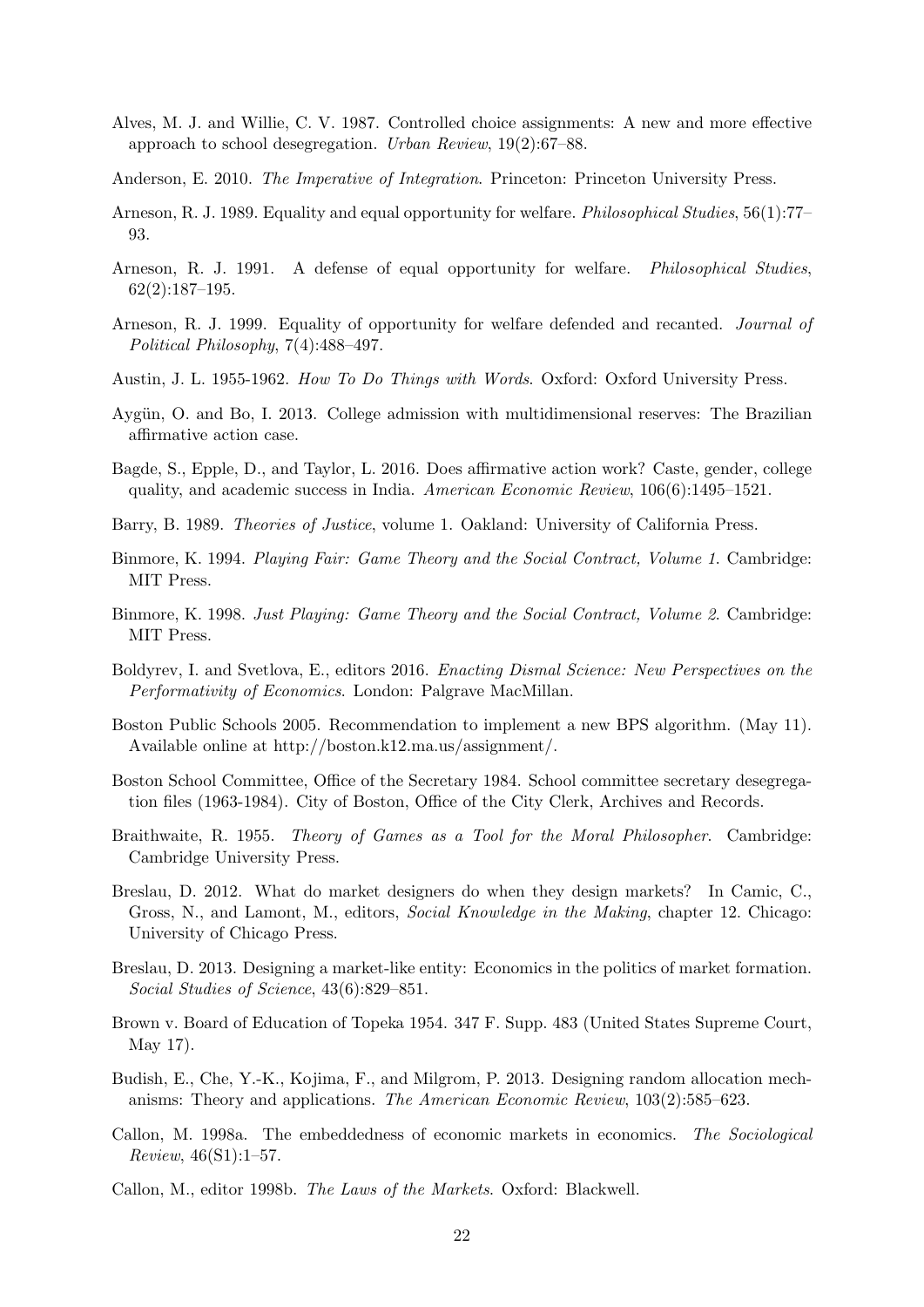- <span id="page-21-5"></span>Alves, M. J. and Willie, C. V. 1987. Controlled choice assignments: A new and more effective approach to school desegregation. Urban Review, 19(2):67–88.
- <span id="page-21-13"></span>Anderson, E. 2010. The Imperative of Integration. Princeton: Princeton University Press.
- <span id="page-21-6"></span>Arneson, R. J. 1989. Equality and equal opportunity for welfare. *Philosophical Studies*, 56(1):77– 93.
- <span id="page-21-7"></span>Arneson, R. J. 1991. A defense of equal opportunity for welfare. Philosophical Studies, 62(2):187–195.
- <span id="page-21-8"></span>Arneson, R. J. 1999. Equality of opportunity for welfare defended and recanted. Journal of Political Philosophy, 7(4):488–497.
- <span id="page-21-15"></span>Austin, J. L. 1955-1962. How To Do Things with Words. Oxford: Oxford University Press.
- <span id="page-21-19"></span>Aygün, O. and Bo, I. 2013. College admission with multidimensional reserves: The Brazilian affirmative action case.
- <span id="page-21-18"></span>Bagde, S., Epple, D., and Taylor, L. 2016. Does affirmative action work? Caste, gender, college quality, and academic success in India. American Economic Review, 106(6):1495–1521.
- <span id="page-21-10"></span>Barry, B. 1989. Theories of Justice, volume 1. Oakland: University of California Press.
- <span id="page-21-11"></span>Binmore, K. 1994. Playing Fair: Game Theory and the Social Contract, Volume 1. Cambridge: MIT Press.
- <span id="page-21-12"></span>Binmore, K. 1998. Just Playing: Game Theory and the Social Contract, Volume 2. Cambridge: MIT Press.
- <span id="page-21-17"></span>Boldyrev, I. and Svetlova, E., editors 2016. Enacting Dismal Science: New Perspectives on the Performativity of Economics. London: Palgrave MacMillan.
- <span id="page-21-14"></span>Boston Public Schools 2005. Recommendation to implement a new BPS algorithm. (May 11). Available online at http://boston.k12.ma.us/assignment/.
- <span id="page-21-4"></span>Boston School Committee, Office of the Secretary 1984. School committee secretary desegregation files (1963-1984). City of Boston, Office of the City Clerk, Archives and Records.
- <span id="page-21-9"></span>Braithwaite, R. 1955. Theory of Games as a Tool for the Moral Philosopher. Cambridge: Cambridge University Press.
- <span id="page-21-1"></span>Breslau, D. 2012. What do market designers do when they design markets? In Camic, C., Gross, N., and Lamont, M., editors, Social Knowledge in the Making, chapter 12. Chicago: University of Chicago Press.
- <span id="page-21-2"></span>Breslau, D. 2013. Designing a market-like entity: Economics in the politics of market formation. Social Studies of Science, 43(6):829–851.
- <span id="page-21-3"></span>Brown v. Board of Education of Topeka 1954. 347 F. Supp. 483 (United States Supreme Court, May 17).
- <span id="page-21-20"></span>Budish, E., Che, Y.-K., Kojima, F., and Milgrom, P. 2013. Designing random allocation mechanisms: Theory and applications. The American Economic Review, 103(2):585–623.
- <span id="page-21-16"></span>Callon, M. 1998a. The embeddedness of economic markets in economics. The Sociological Review, 46(S1):1–57.
- <span id="page-21-0"></span>Callon, M., editor 1998b. The Laws of the Markets. Oxford: Blackwell.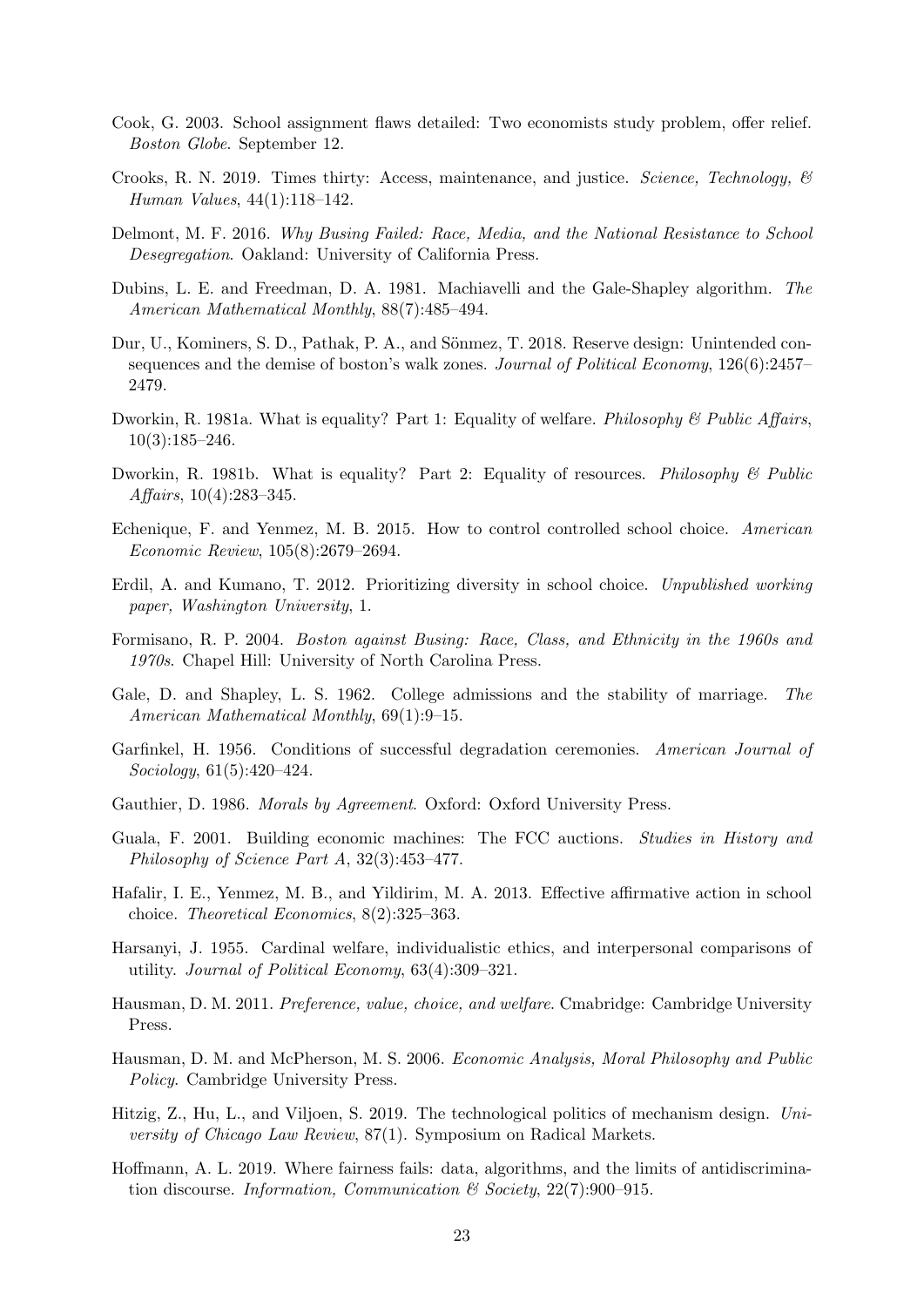- <span id="page-22-0"></span>Cook, G. 2003. School assignment flaws detailed: Two economists study problem, offer relief. Boston Globe. September 12.
- <span id="page-22-15"></span>Crooks, R. N. 2019. Times thirty: Access, maintenance, and justice. Science, Technology, & Human Values, 44(1):118–142.
- <span id="page-22-4"></span>Delmont, M. F. 2016. Why Busing Failed: Race, Media, and the National Resistance to School Desegregation. Oakland: University of California Press.
- <span id="page-22-6"></span>Dubins, L. E. and Freedman, D. A. 1981. Machiavelli and the Gale-Shapley algorithm. The American Mathematical Monthly, 88(7):485–494.
- <span id="page-22-14"></span>Dur, U., Kominers, S. D., Pathak, P. A., and Sönmez, T. 2018. Reserve design: Unintended consequences and the demise of boston's walk zones. Journal of Political Economy, 126(6):2457– 2479.
- <span id="page-22-11"></span>Dworkin, R. 1981a. What is equality? Part 1: Equality of welfare. Philosophy & Public Affairs, 10(3):185–246.
- <span id="page-22-12"></span>Dworkin, R. 1981b. What is equality? Part 2: Equality of resources. Philosophy  $\mathcal B$  Public Affairs, 10(4):283–345.
- <span id="page-22-19"></span>Echenique, F. and Yenmez, M. B. 2015. How to control controlled school choice. American Economic Review, 105(8):2679–2694.
- <span id="page-22-17"></span>Erdil, A. and Kumano, T. 2012. Prioritizing diversity in school choice. Unpublished working paper, Washington University, 1.
- <span id="page-22-3"></span>Formisano, R. P. 2004. Boston against Busing: Race, Class, and Ethnicity in the 1960s and 1970s. Chapel Hill: University of North Carolina Press.
- <span id="page-22-5"></span>Gale, D. and Shapley, L. S. 1962. College admissions and the stability of marriage. The American Mathematical Monthly, 69(1):9–15.
- <span id="page-22-13"></span>Garfinkel, H. 1956. Conditions of successful degradation ceremonies. American Journal of Sociology, 61(5):420–424.
- <span id="page-22-10"></span>Gauthier, D. 1986. Morals by Agreement. Oxford: Oxford University Press.
- <span id="page-22-1"></span>Guala, F. 2001. Building economic machines: The FCC auctions. Studies in History and Philosophy of Science Part A, 32(3):453–477.
- <span id="page-22-18"></span>Hafalir, I. E., Yenmez, M. B., and Yildirim, M. A. 2013. Effective affirmative action in school choice. Theoretical Economics, 8(2):325–363.
- <span id="page-22-9"></span>Harsanyi, J. 1955. Cardinal welfare, individualistic ethics, and interpersonal comparisons of utility. Journal of Political Economy, 63(4):309–321.
- <span id="page-22-8"></span>Hausman, D. M. 2011. Preference, value, choice, and welfare. Cmabridge: Cambridge University Press.
- <span id="page-22-7"></span>Hausman, D. M. and McPherson, M. S. 2006. Economic Analysis, Moral Philosophy and Public Policy. Cambridge University Press.
- <span id="page-22-2"></span>Hitzig, Z., Hu, L., and Viljoen, S. 2019. The technological politics of mechanism design. University of Chicago Law Review, 87(1). Symposium on Radical Markets.
- <span id="page-22-16"></span>Hoffmann, A. L. 2019. Where fairness fails: data, algorithms, and the limits of antidiscrimination discourse. Information, Communication & Society,  $22(7):900-915$ .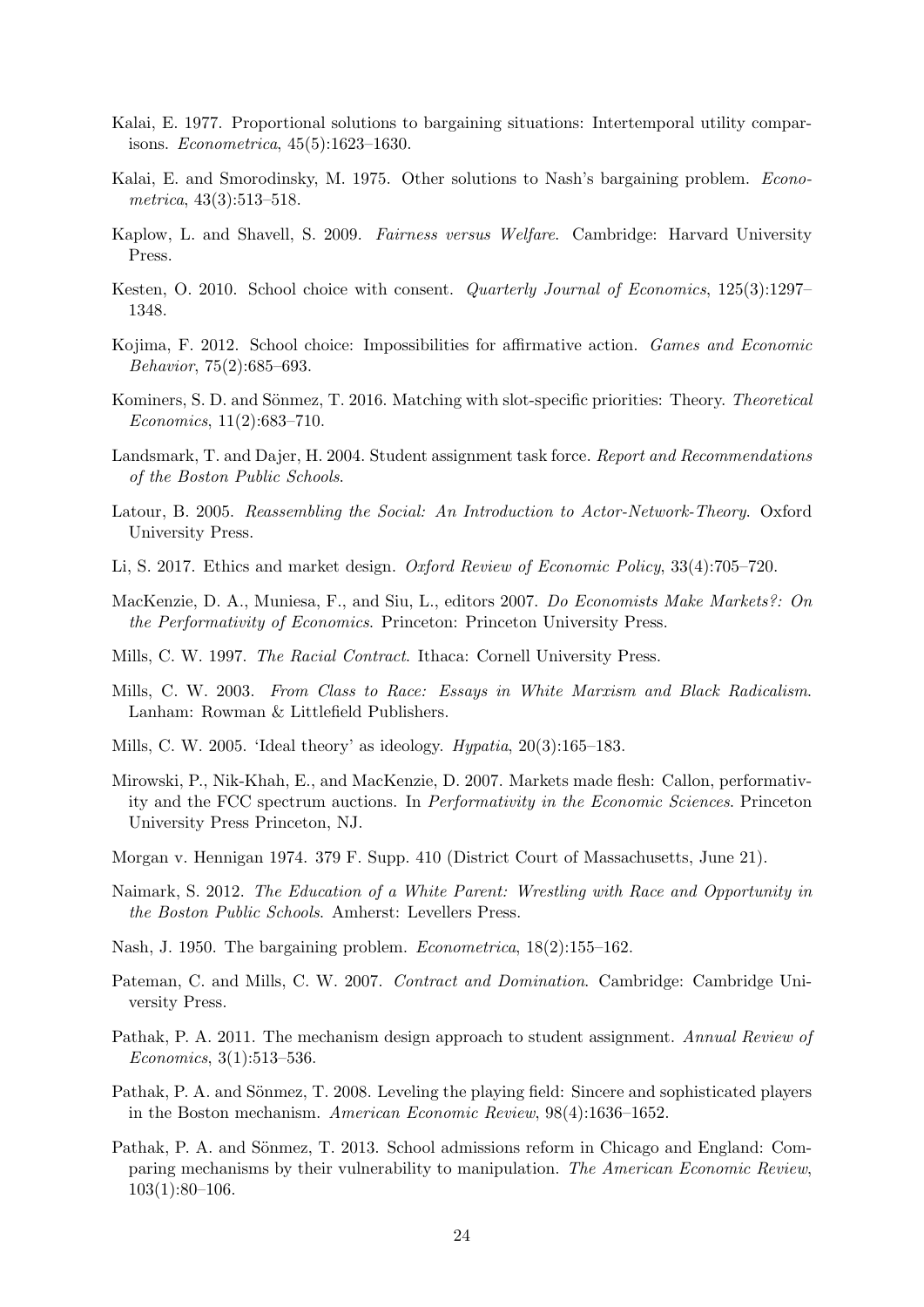- <span id="page-23-7"></span>Kalai, E. 1977. Proportional solutions to bargaining situations: Intertemporal utility comparisons. Econometrica, 45(5):1623–1630.
- <span id="page-23-6"></span>Kalai, E. and Smorodinsky, M. 1975. Other solutions to Nash's bargaining problem. Econometrica, 43(3):513–518.
- <span id="page-23-8"></span>Kaplow, L. and Shavell, S. 2009. Fairness versus Welfare. Cambridge: Harvard University Press.
- <span id="page-23-10"></span>Kesten, O. 2010. School choice with consent. *Quarterly Journal of Economics*, 125(3):1297– 1348.
- <span id="page-23-19"></span>Kojima, F. 2012. School choice: Impossibilities for affirmative action. Games and Economic Behavior, 75(2):685–693.
- <span id="page-23-20"></span>Kominers, S. D. and Sönmez, T. 2016. Matching with slot-specific priorities: Theory. Theoretical Economics, 11(2):683–710.
- <span id="page-23-17"></span>Landsmark, T. and Dajer, H. 2004. Student assignment task force. Report and Recommendations of the Boston Public Schools.
- <span id="page-23-15"></span>Latour, B. 2005. Reassembling the Social: An Introduction to Actor-Network-Theory. Oxford University Press.
- <span id="page-23-1"></span>Li, S. 2017. Ethics and market design. Oxford Review of Economic Policy, 33(4):705–720.
- <span id="page-23-16"></span>MacKenzie, D. A., Muniesa, F., and Siu, L., editors 2007. Do Economists Make Markets?: On the Performativity of Economics. Princeton: Princeton University Press.
- <span id="page-23-11"></span>Mills, C. W. 1997. The Racial Contract. Ithaca: Cornell University Press.
- <span id="page-23-12"></span>Mills, C. W. 2003. From Class to Race: Essays in White Marxism and Black Radicalism. Lanham: Rowman & Littlefield Publishers.
- <span id="page-23-13"></span>Mills, C. W. 2005. 'Ideal theory' as ideology. Hypatia, 20(3):165–183.
- <span id="page-23-0"></span>Mirowski, P., Nik-Khah, E., and MacKenzie, D. 2007. Markets made flesh: Callon, performativity and the FCC spectrum auctions. In Performativity in the Economic Sciences. Princeton University Press Princeton, NJ.
- <span id="page-23-2"></span>Morgan v. Hennigan 1974. 379 F. Supp. 410 (District Court of Massachusetts, June 21).
- <span id="page-23-3"></span>Naimark, S. 2012. The Education of a White Parent: Wrestling with Race and Opportunity in the Boston Public Schools. Amherst: Levellers Press.
- <span id="page-23-5"></span>Nash, J. 1950. The bargaining problem. Econometrica, 18(2):155–162.
- <span id="page-23-14"></span>Pateman, C. and Mills, C. W. 2007. Contract and Domination. Cambridge: Cambridge University Press.
- <span id="page-23-9"></span>Pathak, P. A. 2011. The mechanism design approach to student assignment. Annual Review of Economics, 3(1):513–536.
- <span id="page-23-4"></span>Pathak, P. A. and Sönmez, T. 2008. Leveling the playing field: Sincere and sophisticated players in the Boston mechanism. American Economic Review, 98(4):1636–1652.
- <span id="page-23-18"></span>Pathak, P. A. and Sönmez, T. 2013. School admissions reform in Chicago and England: Comparing mechanisms by their vulnerability to manipulation. The American Economic Review, 103(1):80–106.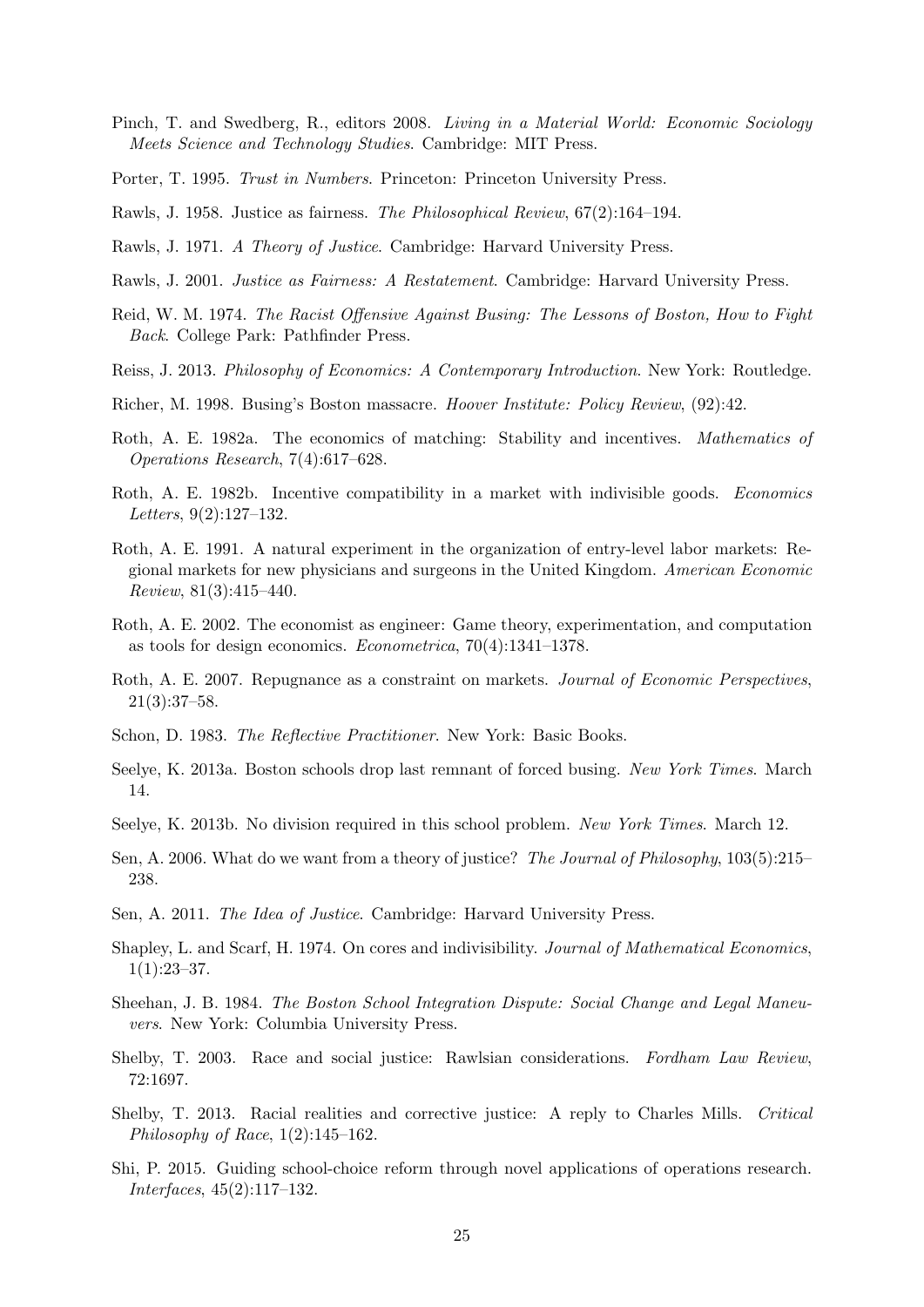- <span id="page-24-18"></span>Pinch, T. and Swedberg, R., editors 2008. Living in a Material World: Economic Sociology Meets Science and Technology Studies. Cambridge: MIT Press.
- <span id="page-24-19"></span>Porter, T. 1995. Trust in Numbers. Princeton: Princeton University Press.
- <span id="page-24-11"></span>Rawls, J. 1958. Justice as fairness. The Philosophical Review, 67(2):164–194.
- <span id="page-24-12"></span>Rawls, J. 1971. A Theory of Justice. Cambridge: Harvard University Press.
- <span id="page-24-13"></span>Rawls, J. 2001. Justice as Fairness: A Restatement. Cambridge: Harvard University Press.
- <span id="page-24-1"></span>Reid, W. M. 1974. The Racist Offensive Against Busing: The Lessons of Boston, How to Fight Back. College Park: Pathfinder Press.
- <span id="page-24-10"></span>Reiss, J. 2013. Philosophy of Economics: A Contemporary Introduction. New York: Routledge.
- <span id="page-24-3"></span>Richer, M. 1998. Busing's Boston massacre. Hoover Institute: Policy Review, (92):42.
- <span id="page-24-5"></span>Roth, A. E. 1982a. The economics of matching: Stability and incentives. Mathematics of Operations Research, 7(4):617–628.
- <span id="page-24-8"></span>Roth, A. E. 1982b. Incentive compatibility in a market with indivisible goods. Economics Letters, 9(2):127–132.
- <span id="page-24-4"></span>Roth, A. E. 1991. A natural experiment in the organization of entry-level labor markets: Regional markets for new physicians and surgeons in the United Kingdom. American Economic Review, 81(3):415–440.
- <span id="page-24-6"></span>Roth, A. E. 2002. The economist as engineer: Game theory, experimentation, and computation as tools for design economics. Econometrica, 70(4):1341–1378.
- <span id="page-24-0"></span>Roth, A. E. 2007. Repugnance as a constraint on markets. Journal of Economic Perspectives,  $21(3):37-58.$
- <span id="page-24-9"></span>Schon, D. 1983. The Reflective Practitioner. New York: Basic Books.
- <span id="page-24-22"></span>Seelye, K. 2013a. Boston schools drop last remnant of forced busing. New York Times. March 14.
- <span id="page-24-20"></span>Seelye, K. 2013b. No division required in this school problem. New York Times. March 12.
- <span id="page-24-15"></span>Sen, A. 2006. What do we want from a theory of justice? The Journal of Philosophy, 103(5):215– 238.
- <span id="page-24-14"></span>Sen, A. 2011. The Idea of Justice. Cambridge: Harvard University Press.
- <span id="page-24-7"></span>Shapley, L. and Scarf, H. 1974. On cores and indivisibility. Journal of Mathematical Economics,  $1(1):23-37.$
- <span id="page-24-2"></span>Sheehan, J. B. 1984. The Boston School Integration Dispute: Social Change and Legal Maneuvers. New York: Columbia University Press.
- <span id="page-24-16"></span>Shelby, T. 2003. Race and social justice: Rawlsian considerations. Fordham Law Review, 72:1697.
- <span id="page-24-17"></span>Shelby, T. 2013. Racial realities and corrective justice: A reply to Charles Mills. Critical Philosophy of Race,  $1(2):145-162$ .
- <span id="page-24-21"></span>Shi, P. 2015. Guiding school-choice reform through novel applications of operations research. Interfaces, 45(2):117–132.